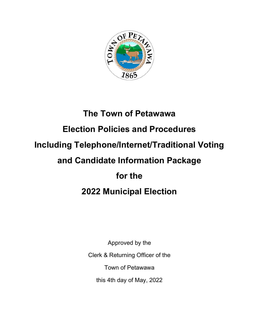

# **The Town of Petawawa Election Policies and Procedures Including Telephone/Internet/Traditional Voting and Candidate Information Package for the 2022 Municipal Election**

Approved by the Clerk & Returning Officer of the Town of Petawawa this 4th day of May, 2022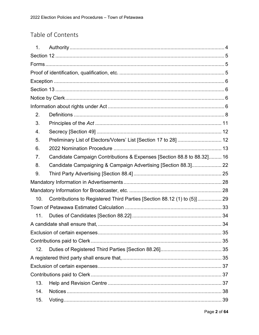# Table of Contents

| 1.              |                                                                         |  |
|-----------------|-------------------------------------------------------------------------|--|
|                 |                                                                         |  |
|                 |                                                                         |  |
|                 |                                                                         |  |
|                 |                                                                         |  |
|                 |                                                                         |  |
|                 |                                                                         |  |
|                 |                                                                         |  |
| 2.              |                                                                         |  |
| 3.              |                                                                         |  |
| 4.              |                                                                         |  |
| 5.              | Preliminary List of Electors/Voters' List [Section 17 to 28]  12        |  |
| 6.              |                                                                         |  |
| 7.              | Candidate Campaign Contributions & Expenses [Section 88.8 to 88.32] 16  |  |
| 8.              | Candidate Campaigning & Campaign Advertising [Section 88.3] 22          |  |
| 9.              |                                                                         |  |
|                 |                                                                         |  |
|                 |                                                                         |  |
| 10 <sub>1</sub> | Contributions to Registered Third Parties [Section 88.12 (1) to (5)] 29 |  |
|                 |                                                                         |  |
| 11.             |                                                                         |  |
|                 |                                                                         |  |
|                 |                                                                         |  |
|                 |                                                                         |  |
| 12.             |                                                                         |  |
|                 |                                                                         |  |
|                 |                                                                         |  |
|                 |                                                                         |  |
| 13.             |                                                                         |  |
| 14.             |                                                                         |  |
| 15.             |                                                                         |  |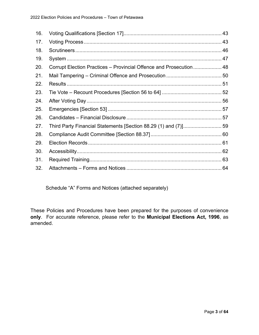| 16. |                                                                    |  |
|-----|--------------------------------------------------------------------|--|
| 17. |                                                                    |  |
| 18. |                                                                    |  |
| 19. |                                                                    |  |
| 20. | Corrupt Election Practices – Provincial Offence and Prosecution 48 |  |
| 21. |                                                                    |  |
| 22. |                                                                    |  |
| 23. |                                                                    |  |
| 24. |                                                                    |  |
| 25. |                                                                    |  |
| 26. |                                                                    |  |
| 27. | Third Party Financial Statements [Section 88.29 (1) and (7)]59     |  |
| 28. |                                                                    |  |
| 29. |                                                                    |  |
| 30. |                                                                    |  |
| 31. |                                                                    |  |
| 32. |                                                                    |  |

Schedule "A" Forms and Notices (attached separately)

These Policies and Procedures have been prepared for the purposes of convenience **only**. For accurate reference, please refer to the **Municipal Elections Act, 1996**, as amended.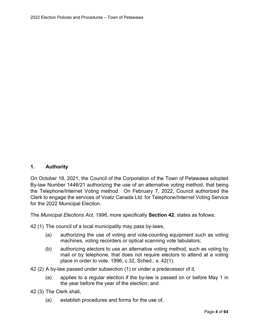# <span id="page-3-0"></span>**1. Authority**

On October 18, 2021, the Council of the Corporation of the Town of Petawawa adopted By-law Number 1446/21 authorizing the use of an alternative voting method, that being the Telephone/Internet Voting method. On February 7, 2022, Council authorized the Clerk to engage the services of Voatz Canada Ltd. for Telephone/Internet Voting Service for the 2022 Municipal Election.

The *Municipal Elections Act, 1996*, more specifically **Section 42**, states as follows:

- 42 (1) The council of a local municipality may pass by-laws,
	- (a) authorizing the use of voting and vote-counting equipment such as voting machines, voting recorders or optical scanning vote tabulators;
	- (b) authorizing electors to use an alternative voting method, such as voting by mail or by telephone, that does not require electors to attend at a voting place in order to vote. 1996, c.32, Sched., s. 42(1).
- [42](http://www.e-laws.gov.on.ca/html/statutes/french/elaws_statutes_96m32_f.htm#s42s2) (2) A by-law passed under subsection (1) or under a predecessor of it,
	- (a) applies to a regular election if the by-law is passed on or before May 1 in the year before the year of the election; and
- [42 \(3](http://www.e-laws.gov.on.ca/html/statutes/french/elaws_statutes_96m32_f.htm#s42s3)) The Clerk shall,
	- (a) establish procedures and forms for the use of,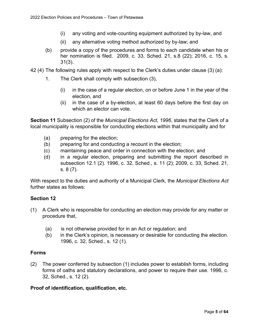- (i) any voting and vote-counting equipment authorized by by-law, and
- (ii) any alternative voting method authorized by by-law; and
- (b) provide a copy of the procedures and forms to each candidate when his or her nomination is filed. 2009, c. 33, Sched. 21, s.8 (22); 2016, c. 15, s. 31(3).
- 42 (4) The following rules apply with respect to the Clerk's duties under clause (3) (a):
	- 1. The Clerk shall comply with subsection (3),
		- (i) in the case of a regular election, on or before June 1 in the year of the election, and
		- (ii) in the case of a by-election, at least 60 days before the first day on which an elector can vote.

**Section 11** Subsection (2) of the *Municipal Elections Act, 1996*, states that the Clerk of a local municipality is responsible for conducting elections within that municipality and for

- (a) preparing for the election;
- (b) preparing for and conducting a recount in the election;
- (c) maintaining peace and order in connection with the election; and
- (d) in a regular election, preparing and submitting the report described in subsection 12.1 (2). 1996, c. 32, Sched., s. 11 (2); 2009, c. 33, Sched. 21, s. 8 (7).

With respect to the duties and authority of a Municipal Clerk, the *Municipal Elections Act* further states as follows:

#### <span id="page-4-0"></span>**Section 12**

- (1) A Clerk who is responsible for conducting an election may provide for any matter or procedure that,
	- (a) is not otherwise provided for in an Act or regulation; and
	- (b) in the Clerk's opinion, is necessary or desirable for conducting the election. 1996, c. 32, Sched., s. 12 (1).

#### <span id="page-4-1"></span>**Forms**

(2) The power conferred by subsection (1) includes power to establish forms, including forms of oaths and statutory declarations, and power to require their use. 1996, c. 32, Sched., s. 12 (2).

#### <span id="page-4-2"></span>**Proof of identification, qualification, etc.**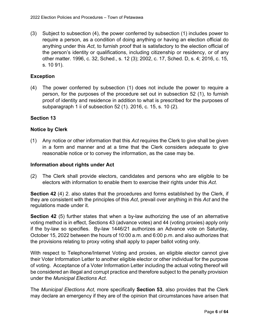(3) Subject to subsection (4), the power conferred by subsection (1) includes power to require a person, as a condition of doing anything or having an election official do anything under this *Act*, to furnish proof that is satisfactory to the election official of the person's identity or qualifications, including citizenship or residency, or of any other matter. 1996, c. 32, Sched., s. 12 (3); 2002, c. 17, Sched. D, s. 4; 2016, c. 15, s. 10 91).

# <span id="page-5-0"></span>**Exception**

(4) The power conferred by subsection (1) does not include the power to require a person, for the purposes of the procedure set out in subsection 52 (1), to furnish proof of identity and residence in addition to what is prescribed for the purposes of subparagraph 1 ii of subsection 52 (1). 2016, c. 15, s. 10 (2).

# <span id="page-5-1"></span>**Section 13**

# <span id="page-5-2"></span>**Notice by Clerk**

(1) Any notice or other information that this *Act* requires the Clerk to give shall be given in a form and manner and at a time that the Clerk considers adequate to give reasonable notice or to convey the information, as the case may be.

### <span id="page-5-3"></span>**Information about rights under Act**

(2) The Clerk shall provide electors, candidates and persons who are eligible to be electors with information to enable them to exercise their rights under this *Act*.

**Section 42** (4) 2. also states that the procedures and forms established by the Clerk, if they are consistent with the principles of this *Act*, prevail over anything in this *Act* and the regulations made under it.

**Section 42** (5) further states that when a by-law authorizing the use of an alternative voting method is in effect, Sections 43 (advance votes) and 44 (voting proxies) apply only if the by-law so specifies. By-law 1446/21 authorizes an Advance vote on Saturday, October 15, 2022 between the hours of 10:00 a.m. and 6:00 p.m. and also authorizes that the provisions relating to proxy voting shall apply to paper ballot voting only.

With respect to Telephone/Internet Voting and proxies, an eligible elector cannot give their Voter Information Letter to another eligible elector or other individual for the purpose of voting. Acceptance of a Voter Information Letter including the actual voting thereof will be considered an illegal and corrupt practice and therefore subject to the penalty provision under the *Municipal Elections Act*.

The *Municipal Elections Act*, more specifically **Section 53**, also provides that the Clerk may declare an emergency if they are of the opinion that circumstances have arisen that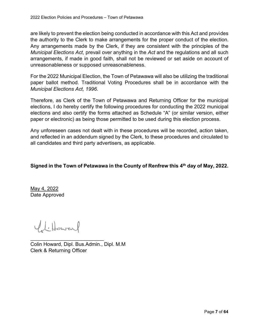are likely to prevent the election being conducted in accordance with this Act and provides the authority to the Clerk to make arrangements for the proper conduct of the election. Any arrangements made by the Clerk, if they are consistent with the principles of the *Municipal Elections Act*, prevail over anything in the *Act* and the regulations and all such arrangements, if made in good faith, shall not be reviewed or set aside on account of unreasonableness or supposed unreasonableness.

For the 2022 Municipal Election, the Town of Petawawa will also be utilizing the traditional paper ballot method. Traditional Voting Procedures shall be in accordance with the *Municipal Elections Act, 1996*.

Therefore, as Clerk of the Town of Petawawa and Returning Officer for the municipal elections, I do hereby certify the following procedures for conducting the 2022 municipal elections and also certify the forms attached as Schedule "A" (or similar version, either paper or electronic) as being those permitted to be used during this election process.

Any unforeseen cases not dealt with in these procedures will be recorded, action taken, and reflected in an addendum signed by the Clerk, to these procedures and circulated to all candidates and third party advertisers, as applicable.

# **Signed in the Town of Petawawa in the County of Renfrew this 4 th day of May, 2022.**

May 4, 2022 Date Approved

Viltoward

\_\_\_\_\_\_\_\_\_\_\_\_\_\_\_\_\_\_\_\_\_\_\_\_\_\_

Colin Howard, Dipl. Bus.Admin., Dipl. M.M Clerk & Returning Officer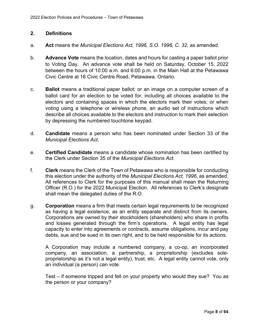# <span id="page-7-0"></span>**2. Definitions**

- a. **Act** means the *Municipal Elections Act, 1996, S.O. 1996, C. 32*, as amended.
- b. **Advance Vote** means the location, dates and hours for casting a paper ballot prior to Voting Day. An advance vote shall be held on Saturday, October 15, 2022 between the hours of 10:00 a.m. and 6:00 p.m. in the Main Hall at the Petawawa Civic Centre at 16 Civic Centre Road, Petawawa, Ontario.
- c. **Ballot** means a traditional paper ballot; or an image on a computer screen of a ballot card for an election to be voted for, including all choices available to the electors and containing spaces in which the electors mark their votes; or when voting using a telephone or wireless phone, an audio set of instructions which describe all choices available to the electors and instruction to mark their selection by depressing the numbered touchtone keypad.
- d. **Candidate** means a person who has been nominated under Section 33 of the *Municipal Elections Act*.
- e. **Certified Candidate** means a candidate whose nomination has been certified by the Clerk under Section 35 of the *Municipal Elections Act*.
- f. **Clerk** means the Clerk of the Town of Petawawa who is responsible for conducting this election under the authority of the *Municipal Elections Act, 1996*, as amended. All references to Clerk for the purposes of this manual shall mean the Returning Officer (R.O.) for the 2022 Municipal Election. All references to Clerk's designate shall mean the delegated duties of the R.O.
- g. **Corporation** means a firm that meets certain legal requirements to be recognized as having a legal existence, as an entity separate and distinct from its owners. Corporations are owned by their stockholders (shareholders) who share in profits and losses generated through the firm's operations. A legal entity has legal capacity to enter into agreements or contracts, assume obligations, incur and pay debts, sue and be sued in its own right, and to be held responsible for its actions.

A Corporation may include a numbered company, a co-op, an incorporated company, an association, a partnership, a proprietorship (excludes soleproprietorship as it's not a legal entity), trust, etc. A legal entity cannot vote, only an individual (a person) can vote.

Test – if someone tripped and fell on your property who would they sue? You as the person or your company?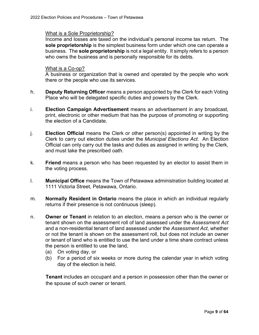#### What is a Sole Proprietorship?

Income and losses are taxed on the individual's personal income tax return. The **sole proprietorship** is the simplest business form under which one can operate a business. The **sole proprietorship** is not a legal entity. It simply refers to a person who owns the business and is personally responsible for its debts.

#### What is a Co-op?

A business or organization that is owned and operated by the people who work there or the people who use its services.

- h. **Deputy Returning Officer** means a person appointed by the Clerk for each Voting Place who will be delegated specific duties and powers by the Clerk.
- i. **Election Campaign Advertisement** means an advertisement in any broadcast, print, electronic or other medium that has the purpose of promoting or supporting the election of a Candidate.
- j. **Election Official** means the Clerk or other person(s) appointed in writing by the Clerk to carry out election duties under the *Municipal Elections Act*. An Election Official can only carry out the tasks and duties as assigned in writing by the Clerk, and must take the prescribed oath.
- k. **Friend** means a person who has been requested by an elector to assist them in the voting process.
- l. **Municipal Office** means the Town of Petawawa administration building located at 1111 Victoria Street, Petawawa, Ontario.
- m. **Normally Resident in Ontario** means the place in which an individual regularly returns if their presence is not continuous (sleep).
- n. **Owner or Tenant** in relation to an election, means a person who is the owner or tenant shown on the assessment roll of land assessed under the *Assessment Act* and a non-residential tenant of land assessed under the *Assessment Act*, whether or not the tenant is shown on the assessment roll, but does not include an owner or tenant of land who is entitled to use the land under a time share contract unless the person is entitled to use the land,
	- (a) On voting day, or
	- (b) For a period of six weeks or more during the calendar year in which voting day of the election is held.

**Tenant** includes an occupant and a person in possession other than the owner or the spouse of such owner or tenant.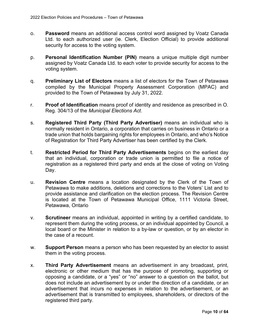- o. **Password** means an additional access control word assigned by Voatz Canada Ltd. to each authorized user (ie. Clerk, Election Official) to provide additional security for access to the voting system.
- p. **Personal Identification Number (PIN)** means a unique multiple digit number assigned by Voatz Canada Ltd. to each voter to provide security for access to the voting system.
- q. **Preliminary List of Electors** means a list of electors for the Town of Petawawa compiled by the Municipal Property Assessment Corporation (MPAC) and provided to the Town of Petawawa by July 31, 2022.
- r. **Proof of Identification** means proof of identity and residence as prescribed in O. Reg. 304/13 of the *Municipal Elections Act*.
- s. **Registered Third Party (Third Party Advertiser)** means an individual who is normally resident in Ontario, a corporation that carries on business in Ontario or a trade union that holds bargaining rights for employees in Ontario, and who's Notice of Registration for Third Party Advertiser has been certified by the Clerk.
- t. **Restricted Period for Third Party Advertisements** begins on the earliest day that an individual, corporation or trade union is permitted to file a notice of registration as a registered third party and ends at the close of voting on Voting Day.
- u. **Revision Centre** means a location designated by the Clerk of the Town of Petawawa to make additions, deletions and corrections to the Voters' List and to provide assistance and clarification on the election process. The Revision Centre is located at the Town of Petawawa Municipal Office, 1111 Victoria Street, Petawawa, Ontario
- v. **Scrutineer** means an individual, appointed in writing by a certified candidate, to represent them during the voting process, or an individual appointed by Council, a local board or the Minister in relation to a by-law or question, or by an elector in the case of a recount.
- w. **Support Person** means a person who has been requested by an elector to assist them in the voting process.
- x. **Third Party Advertisement** means an advertisement in any broadcast, print, electronic or other medium that has the purpose of promoting, supporting or opposing a candidate, or a "yes" or "no" answer to a question on the ballot, but does not include an advertisement by or under the direction of a candidate, or an advertisement that incurs no expenses in relation to the advertisement, or an advertisement that is transmitted to employees, shareholders, or directors of the registered third party.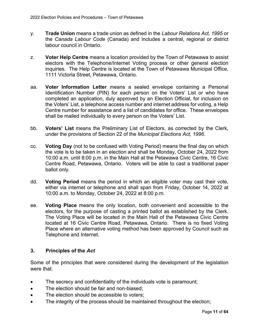- y. **Trade Union** means a trade union as defined in the *Labour Relations Act, 1995* or the *Canada Labour Code* (Canada) and includes a central, regional or district labour council in Ontario.
- z. **Voter Help Centre** means a location provided by the Town of Petawawa to assist electors with the Telephone/Internet Voting process or other general election inquiries. The Help Centre is located at the Town of Petawawa Municipal Office, 1111 Victoria Street, Petawawa, Ontario.
- aa. **Voter Information Letter** means a sealed envelope containing a Personal Identification Number (PIN) for each person on the Voters' List or who have completed an application, duly approved by an Election Official, for inclusion on the Voters' List, a telephone access number and internet address for voting, a Help Centre number for assistance and a list of candidates for office. These envelopes shall be mailed individually to every person on the Voters' List.
- bb. **Voters' List** means the Preliminary List of Electors, as corrected by the Clerk, under the provisions of Section 22 of the *Municipal Elections Act, 1996*.
- cc. **Voting Day** (not to be confused with Voting Period) means the final day on which the vote is to be taken in an election and shall be Monday, October 24, 2022 from 10:00 a.m. until 8:00 p.m. in the Main Hall at the Petawawa Civic Centre, 16 Civic Centre Road, Petawawa, Ontario. Voters will be able to cast a traditional paper ballot only.
- dd. **Voting Period** means the period in which an eligible voter may cast their vote, either via internet or telephone and shall span from Friday, October 14, 2022 at 10:00 a.m. to Monday, October 24, 2022 at 8:00 p.m.
- ee. **Voting Place** means the only location, both convenient and accessible to the electors, for the purpose of casting a printed ballot as established by the Clerk. The Voting Place will be located in the Main Hall of the Petawawa Civic Centre located at 16 Civic Centre Road, Petawawa, Ontario. There is no fixed Voting Place where an alternative voting method has been approved by Council such as Telephone and Internet.

# <span id="page-10-0"></span>**3. Principles of the** *Act*

Some of the principles that were considered during the development of the legislation were that:

- · The secrecy and confidentiality of the individuals vote is paramount;
- · The election should be fair and non-biased;
- The election should be accessible to voters:
- · The integrity of the process should be maintained throughout the election;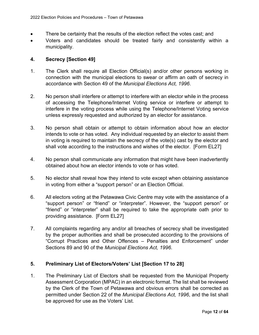- There be certainty that the results of the election reflect the votes cast; and
- Voters and candidates should be treated fairly and consistently within a municipality.

### <span id="page-11-0"></span>**4. Secrecy [Section 49]**

- 1. The Clerk shall require all Election Official(s) and/or other persons working in connection with the municipal elections to swear or affirm an oath of secrecy in accordance with Section 49 of the *Municipal Elections Act, 1996*.
- 2. No person shall interfere or attempt to interfere with an elector while in the process of accessing the Telephone/Internet Voting service or interfere or attempt to interfere in the voting process while using the Telephone/Internet Voting service unless expressly requested and authorized by an elector for assistance.
- 3. No person shall obtain or attempt to obtain information about how an elector intends to vote or has voted. Any individual requested by an elector to assist them in voting is required to maintain the secrecy of the vote(s) cast by the elector and shall vote according to the instructions and wishes of the elector. [Form EL27]
- 4. No person shall communicate any information that might have been inadvertently obtained about how an elector intends to vote or has voted.
- 5. No elector shall reveal how they intend to vote except when obtaining assistance in voting from either a "support person" or an Election Official.
- 6. All electors voting at the Petawawa Civic Centre may vote with the assistance of a "support person" or "friend" or "interpreter". However, the "support person" or "friend" or "interpreter" shall be required to take the appropriate oath prior to providing assistance. [Form EL27]
- 7. All complaints regarding any and/or all breaches of secrecy shall be investigated by the proper authorities and shall be prosecuted according to the provisions of "Corrupt Practices and Other Offences – Penalties and Enforcement" under Sections 89 and 90 of the *Municipal Elections Act, 1996*.

# <span id="page-11-1"></span>**5. Preliminary List of Electors/Voters' List [Section 17 to 28]**

1. The Preliminary List of Electors shall be requested from the Municipal Property Assessment Corporation (MPAC) in an electronic format. The list shall be reviewed by the Clerk of the Town of Petawawa and obvious errors shall be corrected as permitted under Section 22 of the *Municipal Elections Act, 1996*, and the list shall be approved for use as the Voters' List.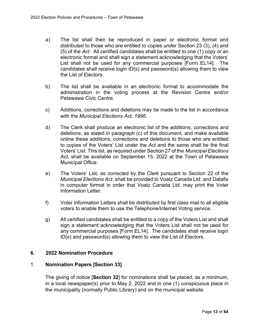- a) The list shall then be reproduced in paper or electronic format and distributed to those who are entitled to copies under Section 23 (3), (4) and (5) of the *Act*. All certified candidates shall be entitled to one (1) copy or an electronic format and shall sign a statement acknowledging that the Voters' List shall not be used for any commercial purposes [Form EL14]. The candidates shall receive login ID(s) and password(s) allowing them to view the List of Electors.
- b) The list shall be available in an electronic format to accommodate the administration in the voting process at the Revision Centre and/or Petawawa Civic Centre.
- c) Additions, corrections and deletions may be made to the list in accordance with the *Municipal Elections Act, 1996*.
- d) The Clerk shall produce an electronic list of the additions, corrections and deletions, as stated in paragraph (c) of this document, and make available online these additions, corrections and deletions to those who are entitled to copies of the Voters' List under the *Act* and the same shall be the final Voters' List. This list, as required under Section 27 of the *Municipal Elections Act*, shall be available on September 15, 2022 at the Town of Petawawa Municipal Office.
- e) The Voters' List, as corrected by the Clerk pursuant to Section 22 of the *Municipal Elections Act*, shall be provided to Voatz Canada Ltd. and Datafix in computer format in order that Voatz Canada Ltd. may print the Voter Information Letter.
- f) Voter Information Letters shall be distributed by first class mail to all eligible voters to enable them to use the Telephone/Internet Voting service.
- g) All certified candidates shall be entitled to a copy of the Voters List and shall sign a statement acknowledging that the Voters List shall not be used for any commercial purposes [Form EL14]. The candidates shall receive login ID(s) and password(s) allowing them to view the List of Electors.

#### <span id="page-12-0"></span>**6. 2022 Nomination Procedure**

#### 1. **Nomination Papers [Section 33]**

The giving of notice [**Section 32**] for nominations shall be placed, as a minimum, in a local newspaper(s) prior to May 2, 2022 and in one (1) conspicuous place in the municipality (normally Public Library) and on the municipal website.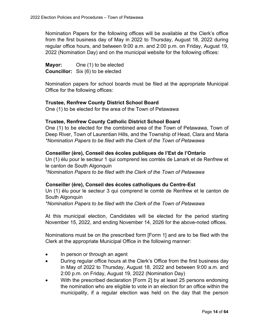Nomination Papers for the following offices will be available at the Clerk's office from the first business day of May in 2022 to Thursday, August 18, 2022 during regular office hours, and between 9:00 a.m. and 2:00 p.m. on Friday, August 19, 2022 (Nomination Day) and on the municipal website for the following offices:

**Mayor:** One (1) to be elected **Councillor:** Six (6) to be elected

Nomination papers for school boards must be filed at the appropriate Municipal Office for the following offices:

#### **Trustee, Renfrew County District School Board**

One (1) to be elected for the area of the Town of Petawawa

#### **Trustee, Renfrew County Catholic District School Board**

One (1) to be elected for the combined area of the Town of Petawawa, Town of Deep River, Town of Laurentian Hills, and the Township of Head, Clara and Maria *\*Nomination Papers to be filed with the Clerk of the Town of Petawawa*

#### **Conseiller (ère), Conseil des écoles publiques de l'Est de l'Ontario**

Un (1) élu pour le secteur 1 qui comprend les comtés de Lanark et de Renfrew et le canton de South Algonquin

*\*Nomination Papers to be filed with the Clerk of the Town of Petawawa*

#### **Conseiller (ère), Conseil des écoles catholiques du Centre-Est**

Un (1) élu pour le secteur 3 qui comprend le comté de Renfrew et le canton de South Algonquin

*\*Nomination Papers to be filed with the Clerk of the Town of Petawawa*

At this municipal election, Candidates will be elected for the period starting November 15, 2022, and ending November 14, 2026 for the above-noted offices.

Nominations must be on the prescribed form [Form 1] and are to be filed with the Clerk at the appropriate Municipal Office in the following manner:

- · In person or through an agent
- During regular office hours at the Clerk's Office from the first business day in May of 2022 to Thursday, August 18, 2022 and between 9:00 a.m. and 2:00 p.m. on Friday, August 19, 2022 (Nomination Day)
- · With the prescribed declaration [Form 2] by at least 25 persons endorsing the nomination who are eligible to vote in an election for an office within the municipality, if a regular election was held on the day that the person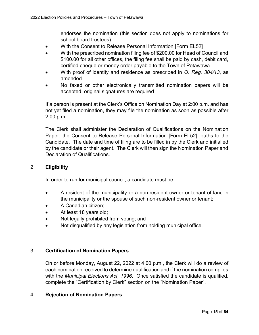endorses the nomination (this section does not apply to nominations for school board trustees)

- With the Consent to Release Personal Information [Form EL52]
- · With the prescribed nomination filing fee of \$200.00 for Head of Council and \$100.00 for all other offices, the filing fee shall be paid by cash, debit card, certified cheque or money order payable to the Town of Petawawa
- · With proof of identity and residence as prescribed in *O. Reg. 304/13*, as amended
- No faxed or other electronically transmitted nomination papers will be accepted, original signatures are required

If a person is present at the Clerk's Office on Nomination Day at 2:00 p.m. and has not yet filed a nomination, they may file the nomination as soon as possible after 2:00 p.m.

The Clerk shall administer the Declaration of Qualifications on the Nomination Paper, the Consent to Release Personal Information [Form EL52], oaths to the Candidate. The date and time of filing are to be filled in by the Clerk and initialled by the candidate or their agent. The Clerk will then sign the Nomination Paper and Declaration of Qualifications.

### 2. **Eligibility**

In order to run for municipal council, a candidate must be:

- · A resident of the municipality or a non-resident owner or tenant of land in the municipality or the spouse of such non-resident owner or tenant;
- · A Canadian citizen;
- · At least 18 years old;
- Not legally prohibited from voting; and
- Not disqualified by any legislation from holding municipal office.

#### 3. **Certification of Nomination Papers**

On or before Monday, August 22, 2022 at 4:00 p.m., the Clerk will do a review of each nomination received to determine qualification and if the nomination complies with the *Municipal Elections Act, 1996*. Once satisfied the candidate is qualified, complete the "Certification by Clerk" section on the "Nomination Paper".

#### 4. **Rejection of Nomination Papers**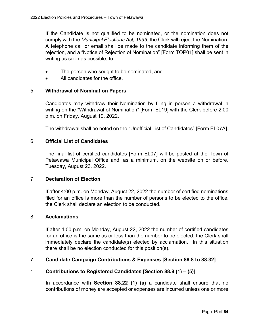If the Candidate is not qualified to be nominated, or the nomination does not comply with the *Municipal Elections Act, 1996*, the Clerk will reject the Nomination. A telephone call or email shall be made to the candidate informing them of the rejection, and a "Notice of Rejection of Nomination" [Form TOP01] shall be sent in writing as soon as possible, to:

- The person who sought to be nominated, and
- · All candidates for the office.

# 5. **Withdrawal of Nomination Papers**

Candidates may withdraw their Nomination by filing in person a withdrawal in writing on the "Withdrawal of Nomination" [Form EL19] with the Clerk before 2:00 p.m. on Friday, August 19, 2022.

The withdrawal shall be noted on the "Unofficial List of Candidates" [Form EL07A].

#### 6. **Official List of Candidates**

The final list of certified candidates [Form EL07] will be posted at the Town of Petawawa Municipal Office and, as a minimum, on the website on or before, Tuesday, August 23, 2022.

#### 7. **Declaration of Election**

If after 4:00 p.m. on Monday, August 22, 2022 the number of certified nominations filed for an office is more than the number of persons to be elected to the office, the Clerk shall declare an election to be conducted.

#### 8. **Acclamations**

If after 4:00 p.m. on Monday, August 22, 2022 the number of certified candidates for an office is the same as or less than the number to be elected, the Clerk shall immediately declare the candidate(s) elected by acclamation. In this situation there shall be no election conducted for this position(s).

#### <span id="page-15-0"></span>**7. Candidate Campaign Contributions & Expenses [Section 88.8 to 88.32]**

#### 1. **Contributions to Registered Candidates [Section 88.8 (1) – (5)]**

In accordance with **Section 88.22 (1) (a)** a candidate shall ensure that no contributions of money are accepted or expenses are incurred unless one or more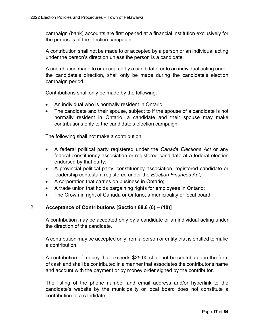campaign (bank) accounts are first opened at a financial institution exclusively for the purposes of the election campaign.

A contribution shall not be made to or accepted by a person or an individual acting under the person's direction unless the person is a candidate.

A contribution made to or accepted by a candidate, or to an individual acting under the candidate's direction, shall only be made during the candidate's election campaign period.

Contributions shall only be made by the following:

- An individual who is normally resident in Ontario;
- · The candidate and their spouse, subject to if the spouse of a candidate is not normally resident in Ontario, a candidate and their spouse may make contributions only to the candidate's election campaign.

The following shall not make a contribution:

- · A federal political party registered under the *Canada Elections Act* or any federal constituency association or registered candidate at a federal election endorsed by that party;
- · A provincial political party, constituency association, registered candidate or leadership contestant registered under the *Election Finances Act*;
- · A corporation that carries on business in Ontario;
- · A trade union that holds bargaining rights for employees in Ontario;
- The Crown in right of Canada or Ontario, a municipality or local board.

#### 2. **Acceptance of Contributions [Section 88.8 (6) – (10)]**

A contribution may be accepted only by a candidate or an individual acting under the direction of the candidate.

A contribution may be accepted only from a person or entity that is entitled to make a contribution.

A contribution of money that exceeds \$25.00 shall not be contributed in the form of cash and shall be contributed in a manner that associates the contributor's name and account with the payment or by money order signed by the contributor.

The listing of the phone number and email address and/or hyperlink to the candidate's website by the municipality or local board does not constitute a contribution to a candidate.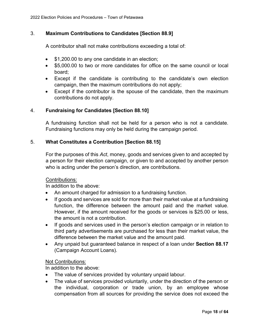# 3. **Maximum Contributions to Candidates [Section 88.9]**

A contributor shall not make contributions exceeding a total of:

- \$1,200.00 to any one candidate in an election;
- · \$5,000.00 to two or more candidates for office on the same council or local board;
- · Except if the candidate is contributing to the candidate's own election campaign, then the maximum contributions do not apply;
- Except if the contributor is the spouse of the candidate, then the maximum contributions do not apply.

# 4. **Fundraising for Candidates [Section 88.10]**

A fundraising function shall not be held for a person who is not a candidate. Fundraising functions may only be held during the campaign period.

# 5. **What Constitutes a Contribution [Section 88.15]**

For the purposes of this *Act*, money, goods and services given to and accepted by a person for their election campaign, or given to and accepted by another person who is acting under the person's direction, are contributions.

#### Contributions:

In addition to the above:

- An amount charged for admission to a fundraising function.
- · If goods and services are sold for more than their market value at a fundraising function, the difference between the amount paid and the market value. However, if the amount received for the goods or services is \$25.00 or less, the amount is not a contribution.
- · If goods and services used in the person's election campaign or in relation to third party advertisements are purchased for less than their market value, the difference between the market value and the amount paid.
- · Any unpaid but guaranteed balance in respect of a loan under **Section 88.17** (Campaign Account Loans).

#### Not Contributions:

In addition to the above:

- · The value of services provided by voluntary unpaid labour.
- · The value of services provided voluntarily, under the direction of the person or the individual, corporation or trade union, by an employee whose compensation from all sources for providing the service does not exceed the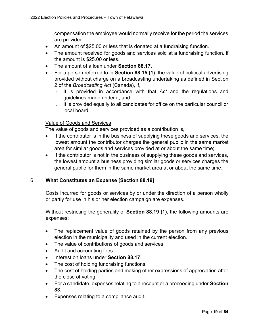compensation the employee would normally receive for the period the services are provided.

- An amount of \$25.00 or less that is donated at a fundraising function.
- The amount received for goods and services sold at a fundraising function, if the amount is \$25.00 or less.
- · The amount of a loan under **Section 88.17**.
- · For a person referred to in **Section 88.15 (1)**, the value of political advertising provided without charge on a broadcasting undertaking as defined in Section 2 of the *Broadcasting Act* (Canada), if,
	- o It is provided in accordance with that *Act* and the regulations and guidelines made under it, and
	- $\circ$  It is provided equally to all candidates for office on the particular council or local board.

# Value of Goods and Services

The value of goods and services provided as a contribution is,

- · If the contributor is in the business of supplying these goods and services, the lowest amount the contributor charges the general public in the same market area for similar goods and services provided at or about the same time;
- · If the contributor is not in the business of supplying these goods and services, the lowest amount a business providing similar goods or services charges the general public for them in the same market area at or about the same time.

# 6. **What Constitutes an Expense [Section 88.19]**

Costs incurred for goods or services by or under the direction of a person wholly or partly for use in his or her election campaign are expenses.

Without restricting the generality of **Section 88.19 (1)**, the following amounts are expenses:

- The replacement value of goods retained by the person from any previous election in the municipality and used in the current election.
- · The value of contributions of goods and services.
- · Audit and accounting fees.
- · Interest on loans under **Section 88.17**.
- · The cost of holding fundraising functions.
- The cost of holding parties and making other expressions of appreciation after the close of voting.
- · For a candidate, expenses relating to a recount or a proceeding under **Section 83**.
- · Expenses relating to a compliance audit.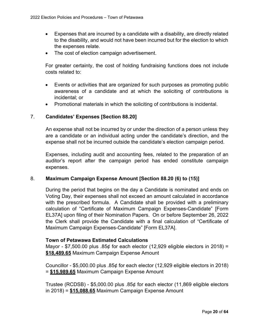- · Expenses that are incurred by a candidate with a disability, are directly related to the disability, and would not have been incurred but for the election to which the expenses relate.
- · The cost of election campaign advertisement.

For greater certainty, the cost of holding fundraising functions does not include costs related to:

- · Events or activities that are organized for such purposes as promoting public awareness of a candidate and at which the soliciting of contributions is incidental; or
- · Promotional materials in which the soliciting of contributions is incidental.

# 7. **Candidates' Expenses [Section 88.20]**

An expense shall not be incurred by or under the direction of a person unless they are a candidate or an individual acting under the candidate's direction, and the expense shall not be incurred outside the candidate's election campaign period.

Expenses, including audit and accounting fees, related to the preparation of an auditor's report after the campaign period has ended constitute campaign expenses.

#### 8. **Maximum Campaign Expense Amount [Section 88.20 (6) to (15)]**

During the period that begins on the day a Candidate is nominated and ends on Voting Day, their expenses shall not exceed an amount calculated in accordance with the prescribed formula. A Candidate shall be provided with a preliminary calculation of "Certificate of Maximum Campaign Expenses-Candidate" [Form EL37A] upon filing of their Nomination Papers. On or before September 26, 2022 the Clerk shall provide the Candidate with a final calculation of "Certificate of Maximum Campaign Expenses-Candidate" [Form EL37A].

#### **Town of Petawawa Estimated Calculations**

Mayor - \$7,500.00 plus .85¢ for each elector (12,929 eligible electors in 2018) = **\$18,489.65** Maximum Campaign Expense Amount

Councillor - \$5,000.00 plus .85 $\phi$  for each elector (12,929 eligible electors in 2018) = **\$15,989.65** Maximum Campaign Expense Amount

Trustee (RCDSB) - \$5,000.00 plus .85¢ for each elector (11,869 eligible electors in 2018) = **\$15,088.65** Maximum Campaign Expense Amount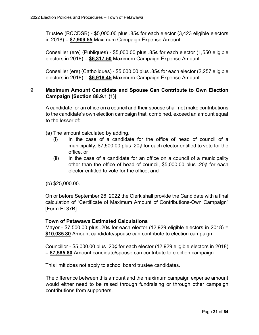Trustee (RCCDSB) - \$5,000.00 plus .85¢ for each elector (3,423 eligible electors in 2018) = **\$7,909.55** Maximum Campaign Expense Amount

Conseiller (ere) (Publiques) - \$5,000.00 plus .85¢ for each elector (1,550 eligible electors in 2018) = **\$6,317.50** Maximum Campaign Expense Amount

Conseiller (ere) (Catholiques) - \$5,000.00 plus .85¢ for each elector (2,257 eligible electors in 2018) = **\$6,918.45** Maximum Campaign Expense Amount

# 9. **Maximum Amount Candidate and Spouse Can Contribute to Own Election Campaign [Section 88.9.1 (1)]**

A candidate for an office on a council and their spouse shall not make contributions to the candidate's own election campaign that, combined, exceed an amount equal to the lesser of:

(a) The amount calculated by adding,

- (i) In the case of a candidate for the office of head of council of a municipality, \$7,500.00 plus .20¢ for each elector entitled to vote for the office, or
- (ii) In the case of a candidate for an office on a council of a municipality other than the office of head of council, \$5,000.00 plus .20¢ for each elector entitled to vote for the office; and

(b) \$25,000.00.

On or before September 26, 2022 the Clerk shall provide the Candidate with a final calculation of "Certificate of Maximum Amount of Contributions-Own Campaign" [Form EL37B].

# **Town of Petawawa Estimated Calculations**

Mayor - \$7,500.00 plus .20 $\phi$  for each elector (12,929 eligible electors in 2018) = **\$10,085.80** Amount candidate/spouse can contribute to election campaign

Councillor - \$5,000.00 plus .20 $\phi$  for each elector (12,929 eligible electors in 2018) = **\$7,585.80** Amount candidate/spouse can contribute to election campaign

This limit does not apply to school board trustee candidates.

The difference between this amount and the maximum campaign expense amount would either need to be raised through fundraising or through other campaign contributions from supporters.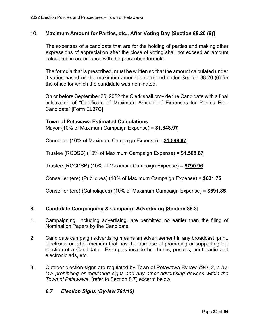#### 10. **Maximum Amount for Parties, etc., After Voting Day [Section 88.20 (9)]**

The expenses of a candidate that are for the holding of parties and making other expressions of appreciation after the close of voting shall not exceed an amount calculated in accordance with the prescribed formula.

The formula that is prescribed, must be written so that the amount calculated under it varies based on the maximum amount determined under Section 88.20 (6) for the office for which the candidate was nominated.

On or before September 26, 2022 the Clerk shall provide the Candidate with a final calculation of "Certificate of Maximum Amount of Expenses for Parties Etc.- Candidate" [Form EL37C].

#### **Town of Petawawa Estimated Calculations**

Mayor (10% of Maximum Campaign Expense) = **\$1,848.97**

Councillor (10% of Maximum Campaign Expense) = **\$1,598.97**

Trustee (RCDSB) (10% of Maximum Campaign Expense) = **\$1,508.87**

Trustee (RCCDSB) (10% of Maximum Campaign Expense) = **\$790.96**

Conseiller (ere) (Publiques) (10% of Maximum Campaign Expense) = **\$631.75**

Conseiller (ere) (Catholiques) (10% of Maximum Campaign Expense) = **\$691.85**

#### <span id="page-21-0"></span>**8. Candidate Campaigning & Campaign Advertising [Section 88.3]**

- 1. Campaigning, including advertising, are permitted no earlier than the filing of Nomination Papers by the Candidate.
- 2. Candidate campaign advertising means an advertisement in any broadcast, print, electronic or other medium that has the purpose of promoting or supporting the election of a Candidate. Examples include brochures, posters, print, radio and electronic ads, etc.
- 3. Outdoor election signs are regulated by Town of Petawawa By-law 794/12, *a bylaw prohibiting or regulating signs and any other advertising devices within the Town of Petawawa*, (refer to Section 8.7) excerpt below:

#### *8.7 Election Signs (By-law 791/12)*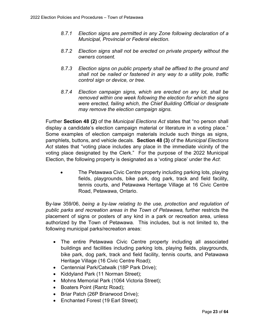- *8.7.1 Election signs are permitted in any Zone following declaration of a Municipal, Provincial or Federal election.*
- *8.7.2 Election signs shall not be erected on private property without the owners consent.*
- *8.7.3 Election signs on public property shall be affixed to the ground and shall not be nailed or fastened in any way to a utility pole, traffic control sign or device, or tree.*
- *8.7.4 Election campaign signs, which are erected on any lot, shall be removed within one week following the election for which the signs were erected, failing which, the Chief Building Official or designate may remove the election campaign signs.*

Further **Section 48 (2)** of the *Municipal Elections Act* states that "no person shall display a candidate's election campaign material or literature in a voting place." Some examples of election campaign materials include such things as signs, pamphlets, buttons, and vehicle decals. **Section 48 (3)** of the *Municipal Elections Act* states that "voting place includes any place in the immediate vicinity of the voting place designated by the Clerk." For the purpose of the 2022 Municipal Election, the following property is designated as a 'voting place' under the *Act*:

The Petawawa Civic Centre property including parking lots, playing fields, playgrounds, bike park, dog park, track and field facility, tennis courts, and Petawawa Heritage Village at 16 Civic Centre Road, Petawawa, Ontario.

By-law 359/06, *being a by-law relating to the use, protection and regulation of public parks and recreation areas in the Town of Petawawa*, further restricts the placement of signs or posters of any kind in a park or recreation area, unless authorized by the Town of Petawawa. This includes, but is not limited to, the following municipal parks/recreation areas:

- · The entire Petawawa Civic Centre property including all associated buildings and facilities including parking lots, playing fields, playgrounds, bike park, dog park, track and field facility, tennis courts, and Petawawa Heritage Village (16 Civic Centre Road);
- Centennial Park/Catwalk (18P Park Drive);
- Kiddyland Park (11 Norman Street);
- · Mohns Memorial Park (1064 Victoria Street);
- Boaters Point (Rantz Road);
- Briar Patch (26P Briarwood Drive);
- Enchanted Forest (19 Earl Street);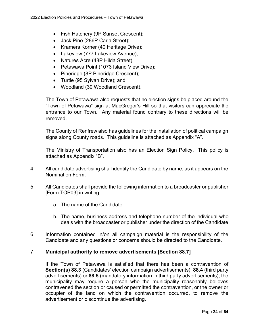- Fish Hatchery (9P Sunset Crescent);
- · Jack Pine (286P Carla Street);
- · Kramers Korner (40 Heritage Drive);
- Lakeview (777 Lakeview Avenue);
- Natures Acre (48P Hilda Street);
- Petawawa Point (1073 Island View Drive);
- Pineridge (8P Pineridge Crescent);
- Turtle (95 Sylvan Drive); and
- · Woodland (30 Woodland Crescent).

The Town of Petawawa also requests that no election signs be placed around the "Town of Petawawa" sign at MacGregor's Hill so that visitors can appreciate the entrance to our Town. Any material found contrary to these directions will be removed.

The County of Renfrew also has guidelines for the installation of political campaign signs along County roads. This guideline is attached as Appendix "A".

The Ministry of Transportation also has an Election Sign Policy. This policy is attached as Appendix "B".

- 4. All candidate advertising shall identify the Candidate by name, as it appears on the Nomination Form.
- 5. All Candidates shall provide the following information to a broadcaster or publisher [Form TOP03] in writing:
	- a. The name of the Candidate
	- b. The name, business address and telephone number of the individual who deals with the broadcaster or publisher under the direction of the Candidate
- 6. Information contained in/on all campaign material is the responsibility of the Candidate and any questions or concerns should be directed to the Candidate.

# 7. **Municipal authority to remove advertisements [Section 88.7]**

If the Town of Petawawa is satisfied that there has been a contravention of **Section(s) 88.3** (Candidates' election campaign advertisements), **88.4** (third party advertisements) or **88.5** (mandatory information in third party advertisements), the municipality may require a person who the municipality reasonably believes contravened the section or caused or permitted the contravention, or the owner or occupier of the land on which the contravention occurred, to remove the advertisement or discontinue the advertising.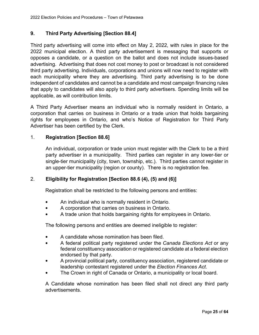# <span id="page-24-0"></span>**9. Third Party Advertising [Section 88.4]**

Third party advertising will come into effect on May 2, 2022, with rules in place for the 2022 municipal election. A third party advertisement is messaging that supports or opposes a candidate, or a question on the ballot and does not include issues-based advertising. Advertising that does not cost money to post or broadcast is not considered third party advertising. Individuals, corporations and unions will now need to register with each municipality where they are advertising. Third party advertising is to be done independent of candidates and cannot be a candidate and most campaign financing rules that apply to candidates will also apply to third party advertisers. Spending limits will be applicable, as will contribution limits.

A Third Party Advertiser means an individual who is normally resident in Ontario, a corporation that carries on business in Ontario or a trade union that holds bargaining rights for employees in Ontario, and who's Notice of Registration for Third Party Advertiser has been certified by the Clerk.

# 1. **Registration [Section 88.6]**

An individual, corporation or trade union must register with the Clerk to be a third party advertiser in a municipality. Third parties can register in any lower-tier or single-tier municipality (city, town, township, etc.). Third parties cannot register in an upper-tier municipality (region or county). There is no registration fee.

#### 2. **Eligibility for Registration [Section 88.6 (4), (5) and (6)]**

Registration shall be restricted to the following persons and entities:

- An individual who is normally resident in Ontario.
- A corporation that carries on business in Ontario.
- A trade union that holds bargaining rights for employees in Ontario.

The following persons and entities are deemed ineligible to register:

- A candidate whose nomination has been filed.
- A federal political party registered under the *Canada Elections Act* or any federal constituency association or registered candidate at a federal election endorsed by that party.
- A provincial political party, constituency association, registered candidate or leadership contestant registered under the *Election Finances Act*.
- The Crown in right of Canada or Ontario, a municipality or local board.

A Candidate whose nomination has been filed shall not direct any third party advertisements.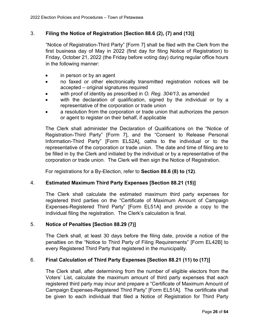# 3. **Filing the Notice of Registration [Section 88.6 (2), (7) and (13)]**

"Notice of Registration-Third Party" [Form 7] shall be filed with the Clerk from the first business day of May in 2022 (first day for filing Notice of Registration) to Friday, October 21, 2022 (the Friday before voting day) during regular office hours in the following manner:

- in person or by an agent
- · no faxed or other electronically transmitted registration notices will be accepted – original signatures required
- with proof of identity as prescribed in O. Reg. 304/13, as amended
- with the declaration of qualification, signed by the individual or by a representative of the corporation or trade union
- a resolution from the corporation or trade union that authorizes the person or agent to register on their behalf, if applicable

The Clerk shall administer the Declaration of Qualifications on the "Notice of Registration-Third Party" [Form 7], and the "Consent to Release Personal Information-Third Party" [Form EL52A], oaths to the individual or to the representative of the corporation or trade union. The date and time of filing are to be filled in by the Clerk and initialed by the individual or by a representative of the corporation or trade union. The Clerk will then sign the Notice of Registration.

For registrations for a By-Election, refer to **Section 88.6 (8) to (12)**.

#### 4. **Estimated Maximum Third Party Expenses [Section 88.21 (15)]**

The Clerk shall calculate the estimated maximum third party expenses for registered third parties on the "Certificate of Maximum Amount of Campaign Expenses-Registered Third Party" [Form EL51A] and provide a copy to the individual filing the registration. The Clerk's calculation is final.

#### 5. **Notice of Penalties [Section 88.29 (7)]**

The Clerk shall, at least 30 days before the filing date, provide a notice of the penalties on the "Notice to Third Party of Filing Requirements" [Form EL42B] to every Registered Third Party that registered in the municipality.

# 6. **Final Calculation of Third Party Expenses [Section 88.21 (11) to (17)]**

The Clerk shall, after determining from the number of eligible electors from the Voters' List, calculate the maximum amount of third party expenses that each registered third party may incur and prepare a "Certificate of Maximum Amount of Campaign Expenses-Registered Third Party" [Form EL51A]. The certificate shall be given to each individual that filed a Notice of Registration for Third Party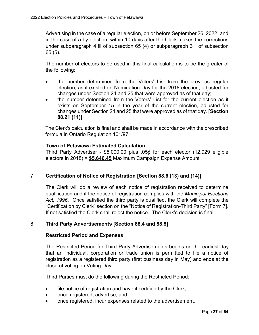Advertising in the case of a regular election, on or before September 26, 2022; and in the case of a by-election, within 10 days after the Clerk makes the corrections under subparagraph 4 iii of subsection 65 (4) or subparagraph 3 ii of subsection 65 (5).

The number of electors to be used in this final calculation is to be the greater of the following:

- · the number determined from the Voters' List from the previous regular election, as it existed on Nomination Day for the 2018 election, adjusted for changes under Section 24 and 25 that were approved as of that day;
- · the number determined from the Voters' List for the current election as it exists on September 15 in the year of the current election, adjusted for changes under Section 24 and 25 that were approved as of that day. [**Section 88.21 (11)**]

The Clerk's calculation is final and shall be made in accordance with the prescribed formula in Ontario Regulation 101/97.

# **Town of Petawawa Estimated Calculation**

Third Party Advertiser - \$5,000.00 plus .05¢ for each elector (12,929 eligible electors in 2018) = **\$5,646.45** Maximum Campaign Expense Amount

# 7. **Certification of Notice of Registration [Section 88.6 (13) and (14)]**

The Clerk will do a review of each notice of registration received to determine qualification and if the notice of registration complies with the *Municipal Elections Act, 1996*. Once satisfied the third party is qualified, the Clerk will complete the "Certification by Clerk" section on the "Notice of Registration-Third Party" [Form 7]. If not satisfied the Clerk shall reject the notice. The Clerk's decision is final.

# 8. **Third Party Advertisements [Section 88.4 and 88.5]**

#### **Restricted Period and Expenses**

The Restricted Period for Third Party Advertisements begins on the earliest day that an individual, corporation or trade union is permitted to file a notice of registration as a registered third party (first business day in May) and ends at the close of voting on Voting Day.

Third Parties must do the following during the Restricted Period:

- file notice of registration and have it certified by the Clerk;
- · once registered, advertise; and
- · once registered, incur expenses related to the advertisement.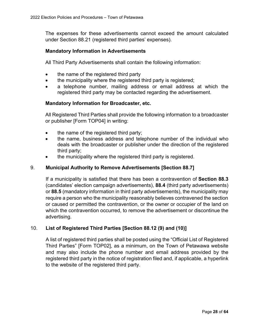The expenses for these advertisements cannot exceed the amount calculated under Section 88.21 (registered third parties' expenses).

### <span id="page-27-0"></span>**Mandatory Information in Advertisements**

All Third Party Advertisements shall contain the following information:

- the name of the registered third party
- the municipality where the registered third party is registered;
- a telephone number, mailing address or email address at which the registered third party may be contacted regarding the advertisement.

# <span id="page-27-1"></span>**Mandatory Information for Broadcaster, etc.**

All Registered Third Parties shall provide the following information to a broadcaster or publisher [Form TOP04] in writing:

- the name of the registered third party;
- the name, business address and telephone number of the individual who deals with the broadcaster or publisher under the direction of the registered third party;
- the municipality where the registered third party is registered.

### 9. **Municipal Authority to Remove Advertisements [Section 88.7]**

If a municipality is satisfied that there has been a contravention of **Section 88.3** (candidates' election campaign advertisements), **88.4** (third party advertisements) or **88.5** (mandatory information in third party advertisements), the municipality may require a person who the municipality reasonably believes contravened the section or caused or permitted the contravention, or the owner or occupier of the land on which the contravention occurred, to remove the advertisement or discontinue the advertising.

# 10. **List of Registered Third Parties [Section 88.12 (9) and (10)]**

A list of registered third parties shall be posted using the "Official List of Registered Third Parties" [Form TOP02], as a minimum, on the Town of Petawawa website and may also include the phone number and email address provided by the registered third party in the notice of registration filed and, if applicable, a hyperlink to the website of the registered third party.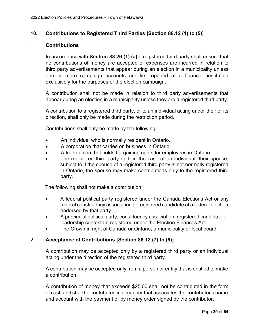### <span id="page-28-0"></span>**10. Contributions to Registered Third Parties [Section 88.12 (1) to (5)]**

#### 1. **Contributions**

In accordance with **Section 88.26 (1) (a)** a registered third party shall ensure that no contributions of money are accepted or expenses are incurred in relation to third party advertisements that appear during an election in a municipality unless one or more campaign accounts are first opened at a financial institution exclusively for the purposes of the election campaign.

A contribution shall not be made in relation to third party advertisements that appear during an election in a municipality unless they are a registered third party.

A contribution to a registered third party, or to an individual acting under their or its direction, shall only be made during the restriction period.

Contributions shall only be made by the following:

- An individual who is normally resident in Ontario.
- · A corporation that carries on business in Ontario.
- A trade union that holds bargaining rights for employees in Ontario.
- The registered third party and, in the case of an individual, their spouse, subject to if the spouse of a registered third party is not normally registered in Ontario, the spouse may make contributions only to the registered third party.

The following shall not make a contribution:

- · A federal political party registered under the Canada Elections Act or any federal constituency association or registered candidate at a federal election endorsed by that party.
- · A provincial political party, constituency association, registered candidate or leadership contestant registered under the Election Finances Act.
- The Crown in right of Canada or Ontario, a municipality or local board.

#### 2. **Acceptance of Contributions [Section 88.12 (7) to (8)]**

A contribution may be accepted only by a registered third party or an individual acting under the direction of the registered third party.

A contribution may be accepted only from a person or entity that is entitled to make a contribution.

A contribution of money that exceeds \$25.00 shall not be contributed in the form of cash and shall be contributed in a manner that associates the contributor's name and account with the payment or by money order signed by the contributor.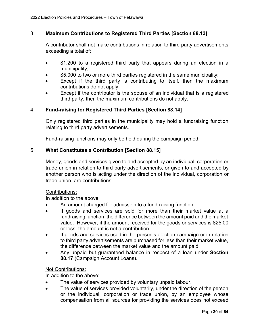# 3. **Maximum Contributions to Registered Third Parties [Section 88.13]**

A contributor shall not make contributions in relation to third party advertisements exceeding a total of:

- \$1,200 to a registered third party that appears during an election in a municipality;
- \$5,000 to two or more third parties registered in the same municipality;
- · Except if the third party is contributing to itself, then the maximum contributions do not apply;
- Except if the contributor is the spouse of an individual that is a registered third party, then the maximum contributions do not apply.

# 4. **Fund-raising for Registered Third Parties [Section 88.14]**

Only registered third parties in the municipality may hold a fundraising function relating to third party advertisements.

Fund-raising functions may only be held during the campaign period.

# 5. **What Constitutes a Contribution [Section 88.15]**

Money, goods and services given to and accepted by an individual, corporation or trade union in relation to third party advertisements, or given to and accepted by another person who is acting under the direction of the individual, corporation or trade union, are contributions.

#### Contributions:

In addition to the above:

- · An amount charged for admission to a fund-raising function.
- · If goods and services are sold for more than their market value at a fundraising function, the difference between the amount paid and the market value. However, if the amount received for the goods or services is \$25.00 or less, the amount is not a contribution.
- If goods and services used in the person's election campaign or in relation to third party advertisements are purchased for less than their market value, the difference between the market value and the amount paid.
- · Any unpaid but guaranteed balance in respect of a loan under **Section 88.17** (Campaign Account Loans).

#### Not Contributions:

In addition to the above:

- The value of services provided by voluntary unpaid labour.
- · The value of services provided voluntarily, under the direction of the person or the individual, corporation or trade union, by an employee whose compensation from all sources for providing the services does not exceed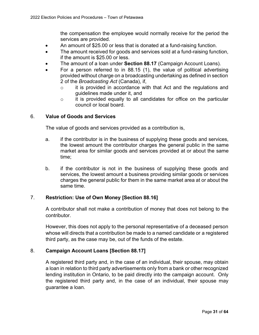the compensation the employee would normally receive for the period the services are provided.

- An amount of \$25.00 or less that is donated at a fund-raising function.
- The amount received for goods and services sold at a fund-raising function, if the amount is \$25.00 or less.
- The amount of a loan under **Section 88.17** (Campaign Account Loans).
- For a person referred to in  $88.15$  (1), the value of political advertising provided without charge on a broadcasting undertaking as defined in section 2 of the *Broadcasting Act* (Canada), if,
	- o it is provided in accordance with that Act and the regulations and guidelines made under it, and
	- $\circ$  it is provided equally to all candidates for office on the particular council or local board.

#### 6. **Value of Goods and Services**

The value of goods and services provided as a contribution is,

- a. if the contributor is in the business of supplying these goods and services, the lowest amount the contributor charges the general public in the same market area for similar goods and services provided at or about the same time;
- b. if the contributor is not in the business of supplying these goods and services, the lowest amount a business providing similar goods or services charges the general public for them in the same market area at or about the same time.

#### 7. **Restriction: Use of Own Money [Section 88.16]**

A contributor shall not make a contribution of money that does not belong to the contributor.

However, this does not apply to the personal representative of a deceased person whose will directs that a contribution be made to a named candidate or a registered third party, as the case may be, out of the funds of the estate.

#### 8. **Campaign Account Loans [Section 88.17]**

A registered third party and, in the case of an individual, their spouse, may obtain a loan in relation to third party advertisements only from a bank or other recognized lending institution in Ontario, to be paid directly into the campaign account. Only the registered third party and, in the case of an individual, their spouse may guarantee a loan.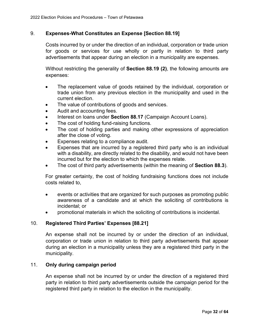# 9. **Expenses-What Constitutes an Expense [Section 88.19]**

Costs incurred by or under the direction of an individual, corporation or trade union for goods or services for use wholly or partly in relation to third party advertisements that appear during an election in a municipality are expenses.

Without restricting the generality of **Section 88.19 (2)**, the following amounts are expenses:

- The replacement value of goods retained by the individual, corporation or trade union from any previous election in the municipality and used in the current election.
- The value of contributions of goods and services.
- Audit and accounting fees.
- Interest on loans under Section 88.17 (Campaign Account Loans).
- · The cost of holding fund-raising functions.
- The cost of holding parties and making other expressions of appreciation after the close of voting.
- · Expenses relating to a compliance audit.
- Expenses that are incurred by a registered third party who is an individual with a disability, are directly related to the disability, and would not have been incurred but for the election to which the expenses relate.
- · The cost of third party advertisements (within the meaning of **Section 88.3**).

For greater certainty, the cost of holding fundraising functions does not include costs related to,

- · events or activities that are organized for such purposes as promoting public awareness of a candidate and at which the soliciting of contributions is incidental; or
- promotional materials in which the soliciting of contributions is incidental.

#### 10. **Registered Third Parties' Expenses [88.21]**

An expense shall not be incurred by or under the direction of an individual, corporation or trade union in relation to third party advertisements that appear during an election in a municipality unless they are a registered third party in the municipality.

#### 11. **Only during campaign period**

An expense shall not be incurred by or under the direction of a registered third party in relation to third party advertisements outside the campaign period for the registered third party in relation to the election in the municipality.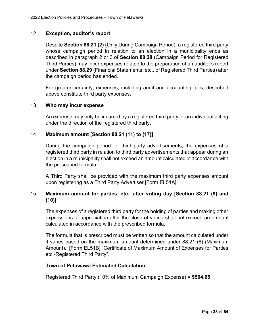### 12. **Exception, auditor's report**

Despite **Section 88.21 (2)** (Only During Campaign Period), a registered third party whose campaign period in relation to an election in a municipality ends as described in paragraph 2 or 3 of **Section 88.28** (Campaign Period for Registered Third Parties) may incur expenses related to the preparation of an auditor's report under **Section 88.29** (Financial Statements, etc., of Registered Third Parties) after the campaign period has ended.

For greater certainty, expenses, including audit and accounting fees, described above constitute third party expenses.

#### 13. **Who may incur expense**

An expense may only be incurred by a registered third party or an individual acting under the direction of the registered third party.

# 14. **Maximum amount [Section 88.21 (11) to (17)]**

During the campaign period for third party advertisements, the expenses of a registered third party in relation to third party advertisements that appear during an election in a municipality shall not exceed an amount calculated in accordance with the prescribed formula.

A Third Party shall be provided with the maximum third party expenses amount upon registering as a Third Party Advertiser [Form EL51A].

# 15. **Maximum amount for parties, etc., after voting day [Section 88.21 (9) and (10)]**

The expenses of a registered third party for the holding of parties and making other expressions of appreciation after the close of voting shall not exceed an amount calculated in accordance with the prescribed formula.

The formula that is prescribed must be written so that the amount calculated under it varies based on the maximum amount determined under 88.21 (6) (Maximum Amount). [Form EL51B] "Certificate of Maximum Amount of Expenses for Parties etc.-Registered Third Party".

#### <span id="page-32-0"></span>**Town of Petawawa Estimated Calculation**

Registered Third Party (10% of Maximum Campaign Expense) = **\$564.65**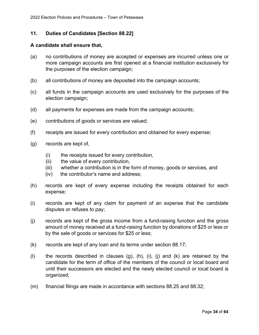#### <span id="page-33-0"></span>**11. Duties of Candidates [Section 88.22]**

#### <span id="page-33-1"></span>**A candidate shall ensure that,**

- (a) no contributions of money are accepted or expenses are incurred unless one or more campaign accounts are first opened at a financial institution exclusively for the purposes of the election campaign;
- (b) all contributions of money are deposited into the campaign accounts;
- (c) all funds in the campaign accounts are used exclusively for the purposes of the election campaign;
- (d) all payments for expenses are made from the campaign accounts;
- (e) contributions of goods or services are valued;
- (f) receipts are issued for every contribution and obtained for every expense;
- (g) records are kept of,
	- (i) the receipts issued for every contribution,
	- (ii) the value of every contribution,
	- (iii) whether a contribution is in the form of money, goods or services, and
	- (iv) the contributor's name and address;
- (h) records are kept of every expense including the receipts obtained for each expense;
- (i) records are kept of any claim for payment of an expense that the candidate disputes or refuses to pay;
- (j) records are kept of the gross income from a fund-raising function and the gross amount of money received at a fund-raising function by donations of \$25 or less or by the sale of goods or services for \$25 or less;
- (k) records are kept of any loan and its terms under section 88.17;
- (I) the records described in clauses  $(g)$ ,  $(h)$ ,  $(i)$ ,  $(i)$  and  $(k)$  are retained by the candidate for the term of office of the members of the council or local board and until their successors are elected and the newly elected council or local board is organized;
- (m) financial filings are made in accordance with sections 88.25 and 88.32;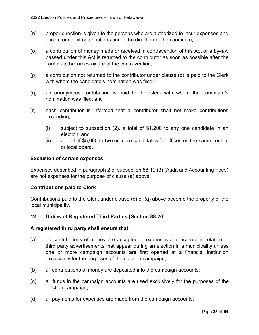- (n) proper direction is given to the persons who are authorized to incur expenses and accept or solicit contributions under the direction of the candidate;
- (o) a contribution of money made or received in contravention of this Act or a by-law passed under this Act is returned to the contributor as soon as possible after the candidate becomes aware of the contravention;
- (p) a contribution not returned to the contributor under clause (o) is paid to the Clerk with whom the candidate's nomination was filed;
- (q) an anonymous contribution is paid to the Clerk with whom the candidate's nomination was filed; and
- (r) each contributor is informed that a contributor shall not make contributions exceeding,
	- (i) subject to subsection (2), a total of \$1,200 to any one candidate in an election, and
	- (ii) a total of \$5,000 to two or more candidates for offices on the same council or local board.

#### <span id="page-34-0"></span>**Exclusion of certain expenses**

Expenses described in paragraph 2 of subsection 88.19 (3) (Audit and Accounting Fees) are not expenses for the purpose of clause (a) above.

#### <span id="page-34-1"></span>**Contributions paid to Clerk**

Contributions paid to the Clerk under clause (p) or (q) above become the property of the local municipality.

#### <span id="page-34-2"></span>**12. Duties of Registered Third Parties [Section 88.26]**

#### <span id="page-34-3"></span>**A registered third party shall ensure that,**

- (a) no contributions of money are accepted or expenses are incurred in relation to third party advertisements that appear during an election in a municipality unless one or more campaign accounts are first opened at a financial institution exclusively for the purposes of the election campaign;
- (b) all contributions of money are deposited into the campaign accounts;
- (c) all funds in the campaign accounts are used exclusively for the purposes of the election campaign;
- (d) all payments for expenses are made from the campaign accounts;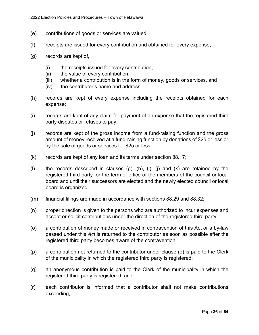- (e) contributions of goods or services are valued;
- (f) receipts are issued for every contribution and obtained for every expense;
- (g) records are kept of,
	- (i) the receipts issued for every contribution,
	- (ii) the value of every contribution,
	- (iii) whether a contribution is in the form of money, goods or services, and
	- (iv) the contributor's name and address;
- (h) records are kept of every expense including the receipts obtained for each expense;
- (i) records are kept of any claim for payment of an expense that the registered third party disputes or refuses to pay;
- (j) records are kept of the gross income from a fund-raising function and the gross amount of money received at a fund-raising function by donations of \$25 or less or by the sale of goods or services for \$25 or less;
- (k) records are kept of any loan and its terms under section 88.17;
- (I) the records described in clauses  $(g)$ ,  $(h)$ ,  $(i)$ ,  $(j)$  and  $(k)$  are retained by the registered third party for the term of office of the members of the council or local board and until their successors are elected and the newly elected council or local board is organized;
- (m) financial filings are made in accordance with sections 88.29 and 88.32;
- (n) proper direction is given to the persons who are authorized to incur expenses and accept or solicit contributions under the direction of the registered third party;
- (o) a contribution of money made or received in contravention of this Act or a by-law passed under this *Act* is returned to the contributor as soon as possible after the registered third party becomes aware of the contravention;
- (p) a contribution not returned to the contributor under clause (o) is paid to the Clerk of the municipality in which the registered third party is registered;
- (q) an anonymous contribution is paid to the Clerk of the municipality in which the registered third party is registered; and
- (r) each contributor is informed that a contributor shall not make contributions exceeding,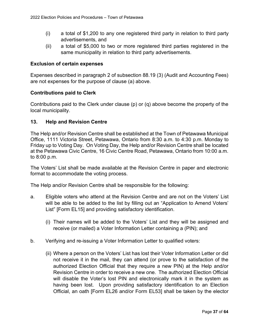- (i) a total of \$1,200 to any one registered third party in relation to third party advertisements, and
- (ii) a total of \$5,000 to two or more registered third parties registered in the same municipality in relation to third party advertisements.

### <span id="page-36-0"></span>**Exclusion of certain expenses**

Expenses described in paragraph 2 of subsection 88.19 (3) (Audit and Accounting Fees) are not expenses for the purpose of clause (a) above.

#### <span id="page-36-1"></span>**Contributions paid to Clerk**

Contributions paid to the Clerk under clause (p) or (q) above become the property of the local municipality.

# <span id="page-36-2"></span>**13. Help and Revision Centre**

The Help and/or Revision Centre shall be established at the Town of Petawawa Municipal Office, 1111 Victoria Street, Petawawa, Ontario from 8:30 a.m. to 4:30 p.m. Monday to Friday up to Voting Day. On Voting Day, the Help and/or Revision Centre shall be located at the Petawawa Civic Centre, 16 Civic Centre Road, Petawawa, Ontario from 10:00 a.m. to 8:00 p.m.

The Voters' List shall be made available at the Revision Centre in paper and electronic format to accommodate the voting process.

The Help and/or Revision Centre shall be responsible for the following:

- a. Eligible voters who attend at the Revision Centre and are not on the Voters' List will be able to be added to the list by filling out an "Application to Amend Voters' List" [Form EL15] and providing satisfactory identification.
	- (i) Their names will be added to the Voters' List and they will be assigned and receive (or mailed) a Voter Information Letter containing a (PIN); and
- b. Verifying and re-issuing a Voter Information Letter to qualified voters:
	- (ii) Where a person on the Voters' List has lost their Voter Information Letter or did not receive it in the mail, they can attend (or prove to the satisfaction of the authorized Election Official that they require a new PIN) at the Help and/or Revision Centre in order to receive a new one. The authorized Election Official will disable the Voter's lost PIN and electronically mark it in the system as having been lost. Upon providing satisfactory identification to an Election Official, an oath [Form EL26 and/or Form EL53] shall be taken by the elector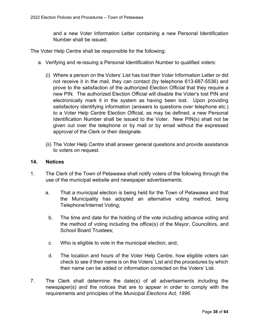and a new Voter Information Letter containing a new Personal Identification Number shall be issued.

The Voter Help Centre shall be responsible for the following:

- a. Verifying and re-issuing a Personal Identification Number to qualified voters:
	- (i) Where a person on the Voters' List has lost their Voter Information Letter or did not receive it in the mail, they can contact (by telephone 613-687-5536) and prove to the satisfaction of the authorized Election Official that they require a new PIN. The authorized Election Official will disable the Voter's lost PIN and electronically mark it in the system as having been lost. Upon providing satisfactory identifying information (answers to questions over telephone etc.) to a Voter Help Centre Election Official, as may be defined, a new Personal Identification Number shall be issued to the Voter. New PIN(s) shall not be given out over the telephone or by mail or by email without the expressed approval of the Clerk or their designate.
	- (ii) The Voter Help Centre shall answer general questions and provide assistance to voters on request.

#### <span id="page-37-0"></span>**14. Notices**

- 1. The Clerk of the Town of Petawawa shall notify voters of the following through the use of the municipal website and newspaper advertisements:
	- a. That a municipal election is being held for the Town of Petawawa and that the Municipality has adopted an alternative voting method, being Telephone/Internet Voting;
		- b. The time and date for the holding of the vote including advance voting and the method of voting including the office(s) of the Mayor, Councillors, and School Board Trustees;
		- c. Who is eligible to vote in the municipal election; and,
		- d. The location and hours of the Voter Help Centre, how eligible voters can check to see if their name is on the Voters' List and the procedures by which their name can be added or information corrected on the Voters' List.
- 7. The Clerk shall determine the date(s) of all advertisements including the newspaper(s) and the notices that are to appear in order to comply with the requirements and principles of the *Municipal Elections Act, 1996*.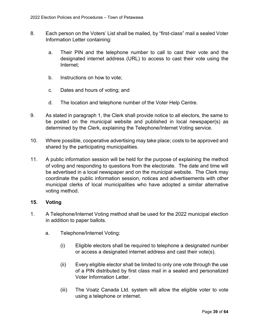- 8. Each person on the Voters' List shall be mailed, by "first-class" mail a sealed Voter Information Letter containing:
	- a. Their PIN and the telephone number to call to cast their vote and the designated internet address (URL) to access to cast their vote using the Internet;
	- b. Instructions on how to vote;
	- c. Dates and hours of voting; and
	- d. The location and telephone number of the Voter Help Centre.
- 9. As stated in paragraph 1, the Clerk shall provide notice to all electors, the same to be posted on the municipal website and published in local newspaper(s) as determined by the Clerk, explaining the Telephone/Internet Voting service.
- 10. Where possible, cooperative advertising may take place; costs to be approved and shared by the participating municipalities.
- 11. A public information session will be held for the purpose of explaining the method of voting and responding to questions from the electorate. The date and time will be advertised in a local newspaper and on the municipal website. The Clerk may coordinate the public information session, notices and advertisements with other municipal clerks of local municipalities who have adopted a similar alternative voting method.

#### <span id="page-38-0"></span>**15. Voting**

- 1. A Telephone/Internet Voting method shall be used for the 2022 municipal election in addition to paper ballots.
	- a. Telephone/Internet Voting:
		- (i) Eligible electors shall be required to telephone a designated number or access a designated internet address and cast their vote(s).
		- (ii) Every eligible elector shall be limited to only one vote through the use of a PIN distributed by first class mail in a sealed and personalized Voter Information Letter.
		- (iii) The Voatz Canada Ltd. system will allow the eligible voter to vote using a telephone or internet.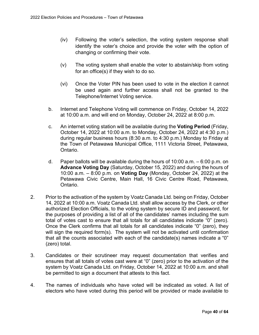- (iv) Following the voter's selection, the voting system response shall identify the voter's choice and provide the voter with the option of changing or confirming their vote.
- (v) The voting system shall enable the voter to abstain/skip from voting for an office(s) if they wish to do so.
- (vi) Once the Voter PIN has been used to vote in the election it cannot be used again and further access shall not be granted to the Telephone/Internet Voting service.
- b. Internet and Telephone Voting will commence on Friday, October 14, 2022 at 10:00 a.m. and will end on Monday, October 24, 2022 at 8:00 p.m.
- c. An internet voting station will be available during the **Voting Period** (Friday, October 14, 2022 at 10:00 a.m. to Monday, October 24, 2022 at 4:30 p.m.) during regular business hours (8:30 a.m. to 4:30 p.m.) Monday to Friday at the Town of Petawawa Municipal Office, 1111 Victoria Street, Petawawa, Ontario.
- d. Paper ballots will be available during the hours of 10:00 a.m. 6:00 p.m. on **Advance Voting Day** (Saturday, October 15, 2022) and during the hours of 10:00 a.m. – 8:00 p.m. on **Voting Day** (Monday, October 24, 2022) at the Petawawa Civic Centre, Main Hall, 16 Civic Centre Road, Petawawa, Ontario.
- 2. Prior to the activation of the system by Voatz Canada Ltd. being on Friday, October 14, 2022 at 10:00 a.m. Voatz Canada Ltd. shall allow access by the Clerk, or other authorized Election Officials, to the voting system by secure ID and password, for the purposes of providing a list of all of the candidates' names including the sum total of votes cast to ensure that all totals for all candidates indicate "0" (zero). Once the Clerk confirms that all totals for all candidates indicate "0" (zero), they will sign the required form(s). The system will not be activated until confirmation that all the counts associated with each of the candidate(s) names indicate a "0" (zero) total.
- 3. Candidates or their scrutineer may request documentation that verifies and ensures that all totals of votes cast were at "0" (zero) prior to the activation of the system by Voatz Canada Ltd. on Friday, October 14, 2022 at 10:00 a.m. and shall be permitted to sign a document that attests to this fact.
- 4. The names of individuals who have voted will be indicated as voted. A list of electors who have voted during this period will be provided or made available to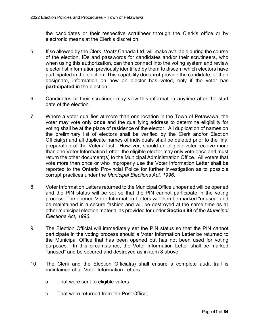the candidates or their respective scrutineer through the Clerk's office or by electronic means at the Clerk's discretion.

- 5. If so allowed by the Clerk, Voatz Canada Ltd. will make available during the course of the election, IDs and passwords for candidates and/or their scrutineers, who when using this authorization, can then connect into the voting system and review elector list information previously identified by them to discern which electors have participated in the election. This capability does **not** provide the candidate, or their designate, information on how an elector has voted, only if the voter has **participated** in the election.
- 6. Candidates or their scrutineer may view this information anytime after the start date of the election.
- 7. Where a voter qualifies at more than one location in the Town of Petawawa, the voter may vote only **once** and the qualifying address to determine eligibility for voting shall be at the place of residence of the elector. All duplication of names on the preliminary list of electors shall be verified by the Clerk and/or Election Official(s) and all duplicate names of individuals shall be deleted prior to the final preparation of the Voters' List. However, should an eligible voter receive more than one Voter Information Letter, the eligible elector may only vote once and must return the other document(s) to the Municipal Administration Office. All voters that vote more than once or who improperly use the Voter Information Letter shall be reported to the Ontario Provincial Police for further investigation as to possible corrupt practices under the *Municipal Elections Act, 1996*.
- 8. Voter Information Letters returned to the Municipal Office unopened will be opened and the PIN status will be set so that the PIN cannot participate in the voting process. The opened Voter Information Letters will then be marked "unused" and be maintained in a secure fashion and will be destroyed at the same time as all other municipal election material as provided for under **Section 88** of the *Municipal Elections Act, 1996*.
- 9. The Election Official will immediately set the PIN status so that the PIN cannot participate in the voting process should a Voter Information Letter be returned to the Municipal Office that has been opened but has not been used for voting purposes. In this circumstance, the Voter Information Letter shall be marked "unused" and be secured and destroyed as in item 8 above.
- 10. The Clerk and the Election Official(s) shall ensure a complete audit trail is maintained of all Voter Information Letters:
	- a. That were sent to eligible voters;
	- b. That were returned from the Post Office;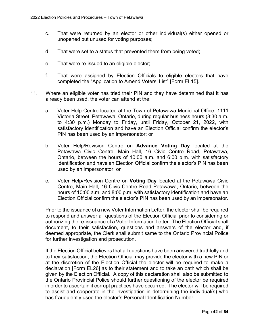- c. That were returned by an elector or other individual(s) either opened or unopened but unused for voting purposes;
- d. That were set to a status that prevented them from being voted;
- e. That were re-issued to an eligible elector;
- f. That were assigned by Election Officials to eligible electors that have completed the "Application to Amend Voters' List" [Form EL15].
- 11. Where an eligible voter has tried their PIN and they have determined that it has already been used, the voter can attend at the:
	- a. Voter Help Centre located at the Town of Petawawa Municipal Office, 1111 Victoria Street, Petawawa, Ontario, during regular business hours (8:30 a.m. to 4:30 p.m.) Monday to Friday, until Friday, October 21, 2022, with satisfactory identification and have an Election Official confirm the elector's PIN has been used by an impersonator; or
	- b. Voter Help/Revision Centre on **Advance Voting Day** located at the Petawawa Civic Centre, Main Hall, 16 Civic Centre Road, Petawawa, Ontario, between the hours of 10:00 a.m. and 6:00 p.m. with satisfactory identification and have an Election Official confirm the elector's PIN has been used by an impersonator; or
	- c. Voter Help/Revision Centre on **Voting Day** located at the Petawawa Civic Centre, Main Hall, 16 Civic Centre Road Petawawa, Ontario, between the hours of 10:00 a.m. and 8:00 p.m. with satisfactory identification and have an Election Official confirm the elector's PIN has been used by an impersonator.

Prior to the issuance of a new Voter Information Letter, the elector shall be required to respond and answer all questions of the Election Official prior to considering or authorizing the re-issuance of a Voter Information Letter. The Election Official shall document, to their satisfaction, questions and answers of the elector and, if deemed appropriate, the Clerk shall submit same to the Ontario Provincial Police for further investigation and prosecution.

If the Election Official believes that all questions have been answered truthfully and to their satisfaction, the Election Official may provide the elector with a new PIN or at the discretion of the Election Official the elector will be required to make a declaration [Form EL26] as to their statement and to take an oath which shall be given by the Election Official. A copy of this declaration shall also be submitted to the Ontario Provincial Police should further questioning of the elector be required in order to ascertain if corrupt practices have occurred. The elector will be required to assist and cooperate in the investigation in determining the individual(s) who has fraudulently used the elector's Personal Identification Number.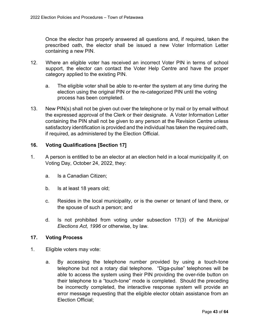Once the elector has properly answered all questions and, if required, taken the prescribed oath, the elector shall be issued a new Voter Information Letter containing a new PIN.

- 12. Where an eligible voter has received an incorrect Voter PIN in terms of school support, the elector can contact the Voter Help Centre and have the proper category applied to the existing PIN.
	- a. The eligible voter shall be able to re-enter the system at any time during the election using the original PIN or the re-categorized PIN until the voting process has been completed.
- 13. New PIN(s) shall not be given out over the telephone or by mail or by email without the expressed approval of the Clerk or their designate. A Voter Information Letter containing the PIN shall not be given to any person at the Revision Centre unless satisfactory identification is provided and the individual has taken the required oath, if required, as administered by the Election Official.

# <span id="page-42-0"></span>**16. Voting Qualifications [Section 17]**

- 1. A person is entitled to be an elector at an election held in a local municipality if, on Voting Day, October 24, 2022, they:
	- a. Is a Canadian Citizen;
	- b. Is at least 18 years old;
	- c. Resides in the local municipality, or is the owner or tenant of land there, or the spouse of such a person; and
	- d. Is not prohibited from voting under subsection 17(3) of the *Municipal Elections Act, 1996* or otherwise, by law.

#### <span id="page-42-1"></span>**17. Voting Process**

- 1. Eligible voters may vote:
	- a. By accessing the telephone number provided by using a touch-tone telephone but not a rotary dial telephone. "Diga-pulse" telephones will be able to access the system using their PIN providing the over-ride button on their telephone to a "touch-tone" mode is completed. Should the preceding be incorrectly completed, the interactive response system will provide an error message requesting that the eligible elector obtain assistance from an Election Official;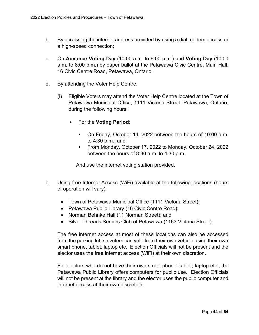- b. By accessing the internet address provided by using a dial modem access or a high-speed connection;
- c. On **Advance Voting Day** (10:00 a.m. to 6:00 p.m.) and **Voting Day** (10:00 a.m. to 8:00 p.m.) by paper ballot at the Petawawa Civic Centre, Main Hall, 16 Civic Centre Road, Petawawa, Ontario.
- d. By attending the Voter Help Centre:
	- (i) Eligible Voters may attend the Voter Help Centre located at the Town of Petawawa Municipal Office, 1111 Victoria Street, Petawawa, Ontario, during the following hours:
		- · For the **Voting Period**:
			- On Friday, October 14, 2022 between the hours of 10:00 a.m. to 4:30 p.m.; and
			- From Monday, October 17, 2022 to Monday, October 24, 2022 between the hours of 8:30 a.m. to 4:30 p.m.

And use the internet voting station provided.

- e. Using free Internet Access (WiFi) available at the following locations (hours of operation will vary):
	- Town of Petawawa Municipal Office (1111 Victoria Street);
	- Petawawa Public Library (16 Civic Centre Road);
	- · Norman Behnke Hall (11 Norman Street); and
	- · Silver Threads Seniors Club of Petawawa (1163 Victoria Street).

The free internet access at most of these locations can also be accessed from the parking lot, so voters can vote from their own vehicle using their own smart phone, tablet, laptop etc. Election Officials will not be present and the elector uses the free internet access (WiFi) at their own discretion.

For electors who do not have their own smart phone, tablet, laptop etc., the Petawawa Public Library offers computers for public use. Election Officials will not be present at the library and the elector uses the public computer and internet access at their own discretion.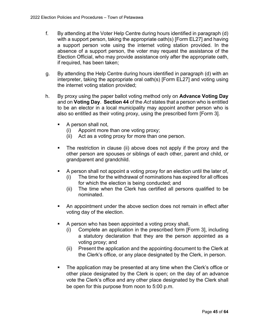- f. By attending at the Voter Help Centre during hours identified in paragraph (d) with a support person, taking the appropriate oath(s) [Form EL27] and having a support person vote using the internet voting station provided. In the absence of a support person, the voter may request the assistance of the Election Official, who may provide assistance only after the appropriate oath, if required, has been taken;
- g. By attending the Help Centre during hours identified in paragraph (d) with an interpreter, taking the appropriate oral oath(s) [Form EL27] and voting using the internet voting station provided;
- h. By proxy using the paper ballot voting method only on **Advance Voting Day** and on **Voting Day**. **Section 44** of the *Act* states that a person who is entitled to be an elector in a local municipality may appoint another person who is also so entitled as their voting proxy, using the prescribed form [Form 3].
	- § A person shall not,
		- (i) Appoint more than one voting proxy;
		- (ii) Act as a voting proxy for more than one person.
	- The restriction in clause (ii) above does not apply if the proxy and the other person are spouses or siblings of each other, parent and child, or grandparent and grandchild.
	- § A person shall not appoint a voting proxy for an election until the later of,
		- (i) The time for the withdrawal of nominations has expired for all offices for which the election is being conducted; and
		- (ii) The time when the Clerk has certified all persons qualified to be nominated.
	- An appointment under the above section does not remain in effect after voting day of the election.
	- § A person who has been appointed a voting proxy shall,
		- (i) Complete an application in the prescribed form [Form 3], including a statutory declaration that they are the person appointed as a voting proxy; and
		- (ii) Present the application and the appointing document to the Clerk at the Clerk's office, or any place designated by the Clerk, in person.
	- The application may be presented at any time when the Clerk's office or other place designated by the Clerk is open; on the day of an advance vote the Clerk's office and any other place designated by the Clerk shall be open for this purpose from noon to 5:00 p.m.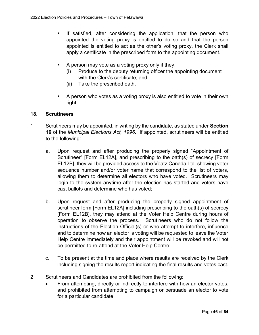- If satisfied, after considering the application, that the person who appointed the voting proxy is entitled to do so and that the person appointed is entitled to act as the other's voting proxy, the Clerk shall apply a certificate in the prescribed form to the appointing document.
- § A person may vote as a voting proxy only if they,
	- (i) Produce to the deputy returning officer the appointing document with the Clerk's certificate; and
	- (ii) Take the prescribed oath.
- A person who votes as a voting proxy is also entitled to vote in their own right.

#### <span id="page-45-0"></span>**18. Scrutineers**

- 1. Scrutineers may be appointed, in writing by the candidate, as stated under **Section 16** of the *Municipal Elections Act, 1996*. If appointed, scrutineers will be entitled to the following:
	- a. Upon request and after producing the properly signed "Appointment of Scrutineer" [Form EL12A], and prescribing to the oath(s) of secrecy [Form EL12B], they will be provided access to the Voatz Canada Ltd. showing voter sequence number and/or voter name that correspond to the list of voters, allowing them to determine all electors who have voted. Scrutineers may login to the system anytime after the election has started and voters have cast ballots and determine who has voted;
	- b. Upon request and after producing the properly signed appointment of scrutineer form [Form EL12A] including prescribing to the oath(s) of secrecy [Form EL12B], they may attend at the Voter Help Centre during hours of operation to observe the process. Scrutineers who do not follow the instructions of the Election Official(s) or who attempt to interfere, influence and to determine how an elector is voting will be requested to leave the Voter Help Centre immediately and their appointment will be revoked and will not be permitted to re-attend at the Voter Help Centre;
	- c. To be present at the time and place where results are received by the Clerk including signing the results report indicating the final results and votes cast.
- 2. Scrutineers and Candidates are prohibited from the following:
	- From attempting, directly or indirectly to interfere with how an elector votes, and prohibited from attempting to campaign or persuade an elector to vote for a particular candidate;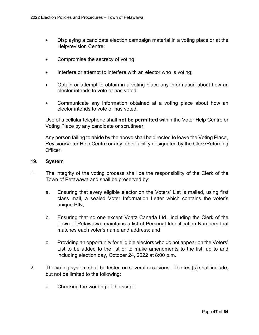- · Displaying a candidate election campaign material in a voting place or at the Help/revision Centre;
- Compromise the secrecy of voting;
- Interfere or attempt to interfere with an elector who is voting;
- · Obtain or attempt to obtain in a voting place any information about how an elector intends to vote or has voted;
- · Communicate any information obtained at a voting place about how an elector intends to vote or has voted.

Use of a cellular telephone shall **not be permitted** within the Voter Help Centre or Voting Place by any candidate or scrutineer.

Any person failing to abide by the above shall be directed to leave the Voting Place, Revision/Voter Help Centre or any other facility designated by the Clerk/Returning Officer.

#### <span id="page-46-0"></span>**19. System**

- 1. The integrity of the voting process shall be the responsibility of the Clerk of the Town of Petawawa and shall be preserved by:
	- a. Ensuring that every eligible elector on the Voters' List is mailed, using first class mail, a sealed Voter Information Letter which contains the voter's unique PIN;
	- b. Ensuring that no one except Voatz Canada Ltd., including the Clerk of the Town of Petawawa, maintains a list of Personal Identification Numbers that matches each voter's name and address; and
	- c. Providing an opportunity for eligible electors who do not appear on the Voters' List to be added to the list or to make amendments to the list, up to and including election day, October 24, 2022 at 8:00 p.m.
- 2. The voting system shall be tested on several occasions. The test(s) shall include, but not be limited to the following:
	- a. Checking the wording of the script;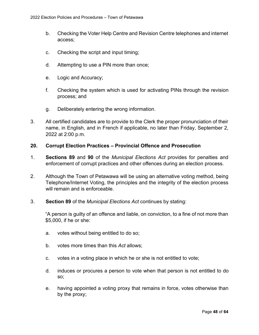- b. Checking the Voter Help Centre and Revision Centre telephones and internet access;
- c. Checking the script and input timing;
- d. Attempting to use a PIN more than once;
- e. Logic and Accuracy;
- f. Checking the system which is used for activating PINs through the revision process; and
- g. Deliberately entering the wrong information.
- 3. All certified candidates are to provide to the Clerk the proper pronunciation of their name, in English, and in French if applicable, no later than Friday, September 2, 2022 at 2:00 p.m.

#### <span id="page-47-0"></span>**20. Corrupt Election Practices – Provincial Offence and Prosecution**

- 1. **Sections 89** and **90** of the *Municipal Elections Act* provides for penalties and enforcement of corrupt practices and other offences during an election process.
- 2. Although the Town of Petawawa will be using an alternative voting method, being Telephone/Internet Voting, the principles and the integrity of the election process will remain and is enforceable.
- 3. **Section 89** of the *Municipal Elections Act* continues by stating:

"A person is guilty of an offence and liable, on conviction, to a fine of not more than \$5,000, if he or she:

- a. votes without being entitled to do so;
- b. votes more times than this *Act* allows;
- c. votes in a voting place in which he or she is not entitled to vote;
- d. induces or procures a person to vote when that person is not entitled to do so;
- e. having appointed a voting proxy that remains in force, votes otherwise than by the proxy;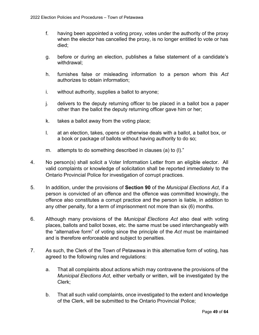- f. having been appointed a voting proxy, votes under the authority of the proxy when the elector has cancelled the proxy, is no longer entitled to vote or has died;
- g. before or during an election, publishes a false statement of a candidate's withdrawal;
- h. furnishes false or misleading information to a person whom this *Act* authorizes to obtain information;
- i. without authority, supplies a ballot to anyone;
- j. delivers to the deputy returning officer to be placed in a ballot box a paper other than the ballot the deputy returning officer gave him or her;
- k. takes a ballot away from the voting place;
- l. at an election, takes, opens or otherwise deals with a ballot, a ballot box, or a book or package of ballots without having authority to do so;
- m. attempts to do something described in clauses (a) to (l)."
- 4. No person(s) shall solicit a Voter Information Letter from an eligible elector. All valid complaints or knowledge of solicitation shall be reported immediately to the Ontario Provincial Police for investigation of corrupt practices.
- 5. In addition, under the provisions of **Section 90** of the *Municipal Elections Act*, if a person is convicted of an offence and the offence was committed knowingly, the offence also constitutes a corrupt practice and the person is liable, in addition to any other penalty, for a term of imprisonment not more than six (6) months.
- 6. Although many provisions of the *Municipal Elections Act* also deal with voting places, ballots and ballot boxes, etc. the same must be used interchangeably with the "alternative form" of voting since the principle of the *Act* must be maintained and is therefore enforceable and subject to penalties.
- 7. As such, the Clerk of the Town of Petawawa in this alternative form of voting, has agreed to the following rules and regulations:
	- a. That all complaints about actions which may contravene the provisions of the *Municipal Elections Act*, either verbally or written, will be investigated by the Clerk;
	- b. That all such valid complaints, once investigated to the extent and knowledge of the Clerk, will be submitted to the Ontario Provincial Police;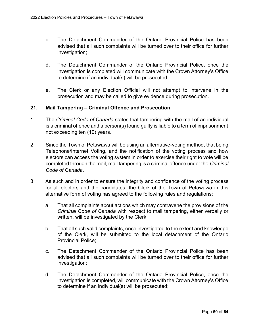- c. The Detachment Commander of the Ontario Provincial Police has been advised that all such complaints will be turned over to their office for further investigation;
- d. The Detachment Commander of the Ontario Provincial Police, once the investigation is completed will communicate with the Crown Attorney's Office to determine if an individual(s) will be prosecuted;
- e. The Clerk or any Election Official will not attempt to intervene in the prosecution and may be called to give evidence during prosecution.

#### <span id="page-49-0"></span>**21. Mail Tampering – Criminal Offence and Prosecution**

- 1. The *Criminal Code of Canada* states that tampering with the mail of an individual is a criminal offence and a person(s) found guilty is liable to a term of imprisonment not exceeding ten (10) years.
- 2. Since the Town of Petawawa will be using an alternative-voting method, that being Telephone/Internet Voting, and the notification of the voting process and how electors can access the voting system in order to exercise their right to vote will be completed through the mail, mail tampering is a criminal offence under the *Criminal Code of Canada*.
- 3. As such and in order to ensure the integrity and confidence of the voting process for all electors and the candidates, the Clerk of the Town of Petawawa in this alternative form of voting has agreed to the following rules and regulations:
	- a. That all complaints about actions which may contravene the provisions of the *Criminal Code of Canada* with respect to mail tampering, either verbally or written, will be investigated by the Clerk;
	- b. That all such valid complaints, once investigated to the extent and knowledge of the Clerk, will be submitted to the local detachment of the Ontario Provincial Police;
	- c. The Detachment Commander of the Ontario Provincial Police has been advised that all such complaints will be turned over to their office for further investigation;
	- d. The Detachment Commander of the Ontario Provincial Police, once the investigation is completed, will communicate with the Crown Attorney's Office to determine if an individual(s) will be prosecuted;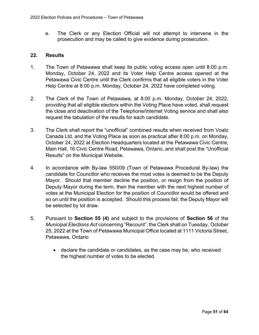e. The Clerk or any Election Official will not attempt to intervene in the prosecution and may be called to give evidence during prosecution.

#### <span id="page-50-0"></span>**22. Results**

- 1. The Town of Petawawa shall keep its public voting access open until 8:00 p.m. Monday, October 24, 2022 and its Voter Help Centre access opened at the Petawawa Civic Centre until the Clerk confirms that all eligible voters in the Voter Help Centre at 8:00 p.m. Monday, October 24, 2022 have completed voting.
- 2. The Clerk of the Town of Petawawa, at 8:00 p.m. Monday, October 24, 2022, providing that all eligible electors within the Voting Place have voted, shall request the close and deactivation of the Telephone/Internet Voting service and shall also request the tabulation of the results for each candidate.
- 3. The Clerk shall report the "unofficial" combined results when received from Voatz Canada Ltd. and the Voting Place as soon as practical after 8:00 p.m. on Monday, October 24, 2022 at Election Headquarters located at the Petawawa Civic Centre, Main Hall, 16 Civic Centre Road, Petawawa, Ontario, and shall post the "Unofficial Results" on the Municipal Website.
- 4. In accordance with By-law 550/09 (Town of Petawawa Procedural By-law) the candidate for Councillor who receives the most votes is deemed to be the Deputy Mayor. Should that member decline the position, or resign from the position of Deputy Mayor during the term, then the member with the next highest number of votes at the Municipal Election for the position of Councillor would be offered and so on until the position is accepted. Should this process fail, the Deputy Mayor will be selected by lot draw.
- 5. Pursuant to **Section 55 (4)** and subject to the provisions of **Section 56** of the *Municipal Elections Act* concerning "Recount", the Clerk shall on Tuesday, October 25, 2022 at the Town of Petawawa Municipal Office located at 1111 Victoria Street, Petawawa, Ontario
	- · declare the candidate or candidates, as the case may be, who received the highest number of votes to be elected.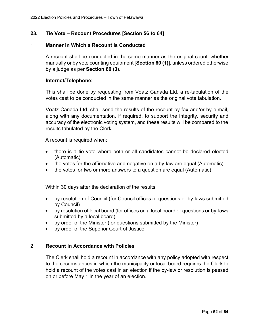# <span id="page-51-0"></span>**23. Tie Vote – Recount Procedures [Section 56 to 64]**

#### 1. **Manner in Which a Recount is Conducted**

A recount shall be conducted in the same manner as the original count, whether manually or by vote counting equipment [**Section 60 (1)**], unless ordered otherwise by a judge as per **Section 60 (3)**.

#### **Internet/Telephone:**

This shall be done by requesting from Voatz Canada Ltd. a re-tabulation of the votes cast to be conducted in the same manner as the original vote tabulation.

Voatz Canada Ltd. shall send the results of the recount by fax and/or by e-mail, along with any documentation, if required, to support the integrity, security and accuracy of the electronic voting system, and these results will be compared to the results tabulated by the Clerk.

A recount is required when:

- · there is a tie vote where both or all candidates cannot be declared elected (Automatic)
- the votes for the affirmative and negative on a by-law are equal (Automatic)
- the votes for two or more answers to a question are equal (Automatic)

Within 30 days after the declaration of the results:

- · by resolution of Council (for Council offices or questions or by-laws submitted by Council)
- by resolution of local board (for offices on a local board or questions or by-laws submitted by a local board)
- by order of the Minister (for questions submitted by the Minister)
- by order of the Superior Court of Justice

#### 2. **Recount in Accordance with Policies**

The Clerk shall hold a recount in accordance with any policy adopted with respect to the circumstances in which the municipality or local board requires the Clerk to hold a recount of the votes cast in an election if the by-law or resolution is passed on or before May 1 in the year of an election.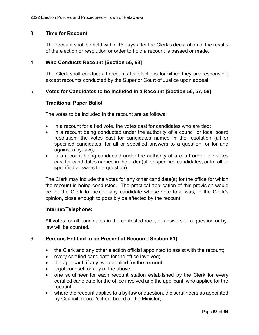#### 3. **Time for Recount**

The recount shall be held within 15 days after the Clerk's declaration of the results of the election or resolution or order to hold a recount is passed or made.

#### 4. **Who Conducts Recount [Section 56, 63]**

The Clerk shall conduct all recounts for elections for which they are responsible except recounts conducted by the Superior Court of Justice upon appeal.

#### 5. **Votes for Candidates to be Included in a Recount [Section 56, 57, 58]**

#### **Traditional Paper Ballot**

The votes to be included in the recount are as follows:

- in a recount for a tied vote, the votes cast for candidates who are tied:
- in a recount being conducted under the authority of a council or local board resolution, the votes cast for candidates named in the resolution (all or specified candidates, for all or specified answers to a question, or for and against a by-law);
- in a recount being conducted under the authority of a court order, the votes cast for candidates named in the order (all or specified candidates, or for all or specified answers to a question).

The Clerk may include the votes for any other candidate(s) for the office for which the recount is being conducted. The practical application of this provision would be for the Clerk to include any candidate whose vote total was, in the Clerk's opinion, close enough to possibly be affected by the recount.

#### **Internet/Telephone:**

All votes for all candidates in the contested race, or answers to a question or bylaw will be counted.

#### 6. **Persons Entitled to be Present at Recount [Section 61]**

- the Clerk and any other election official appointed to assist with the recount;
- · every certified candidate for the office involved;
- the applicant, if any, who applied for the recount;
- · legal counsel for any of the above;
- one scrutineer for each recount station established by the Clerk for every certified candidate for the office involved and the applicant, who applied for the recount;
- · where the recount applies to a by-law or question, the scrutineers as appointed by Council, a local/school board or the Minister;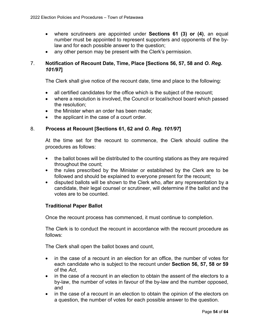- · where scrutineers are appointed under **Sections 61 (3) or (4)**, an equal number must be appointed to represent supporters and opponents of the bylaw and for each possible answer to the question;
- any other person may be present with the Clerk's permission.

# 7. **Notification of Recount Date, Time, Place [Sections 56, 57, 58 and** *O. Reg. 101/97***]**

The Clerk shall give notice of the recount date, time and place to the following:

- all certified candidates for the office which is the subject of the recount;
- · where a resolution is involved, the Council or local/school board which passed the resolution;
- the Minister when an order has been made:
- · the applicant in the case of a court order.

#### 8. **Process at Recount [Sections 61, 62 and** *O. Reg. 101/97***]**

At the time set for the recount to commence, the Clerk should outline the procedures as follows:

- the ballot boxes will be distributed to the counting stations as they are required throughout the count;
- the rules prescribed by the Minister or established by the Clerk are to be followed and should be explained to everyone present for the recount;
- disputed ballots will be shown to the Clerk who, after any representation by a candidate, their legal counsel or scrutineer, will determine if the ballot and the votes are to be counted.

#### **Traditional Paper Ballot**

Once the recount process has commenced, it must continue to completion.

The Clerk is to conduct the recount in accordance with the recount procedure as follows:

The Clerk shall open the ballot boxes and count,

- in the case of a recount in an election for an office, the number of votes for each candidate who is subject to the recount under **Section 56, 57, 58 or 59** of the *Act*,
- · in the case of a recount in an election to obtain the assent of the electors to a by-law, the number of votes in favour of the by-law and the number opposed, and
- in the case of a recount in an election to obtain the opinion of the electors on a question, the number of votes for each possible answer to the question.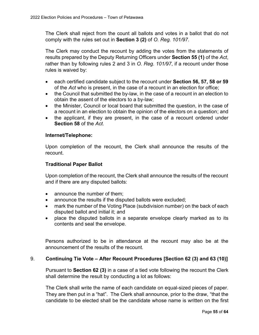The Clerk shall reject from the count all ballots and votes in a ballot that do not comply with the rules set out in **Section 3 (2)** of *O. Reg. 101/97*.

The Clerk may conduct the recount by adding the votes from the statements of results prepared by the Deputy Returning Officers under **Section 55 (1)** of the *Act*, rather than by following rules 2 and 3 in *O. Reg. 101/97*, if a recount under those rules is waived by:

- · each certified candidate subject to the recount under **Section 56, 57, 58 or 59** of the *Act* who is present, in the case of a recount in an election for office;
- the Council that submitted the by-law, in the case of a recount in an election to obtain the assent of the electors to a by-law;
- · the Minister, Council or local board that submitted the question, in the case of a recount in an election to obtain the opinion of the electors on a question; and
- the applicant, if they are present, in the case of a recount ordered under **Section 58** of the *Act*.

#### **Internet/Telephone:**

Upon completion of the recount, the Clerk shall announce the results of the recount.

# **Traditional Paper Ballot**

Upon completion of the recount, the Clerk shall announce the results of the recount and if there are any disputed ballots:

- announce the number of them:
- announce the results if the disputed ballots were excluded;
- mark the number of the Voting Place (subdivision number) on the back of each disputed ballot and initial it; and
- · place the disputed ballots in a separate envelope clearly marked as to its contents and seal the envelope.

Persons authorized to be in attendance at the recount may also be at the announcement of the results of the recount.

# 9. **Continuing Tie Vote – After Recount Procedures [Section 62 (3) and 63 (10)]**

Pursuant to **Section 62 (3)** in a case of a tied vote following the recount the Clerk shall determine the result by conducting a lot as follows:

The Clerk shall write the name of each candidate on equal-sized pieces of paper. They are then put in a "hat". The Clerk shall announce, prior to the draw, "that the candidate to be elected shall be the candidate whose name is written on the first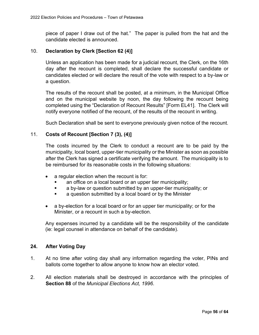piece of paper I draw out of the hat." The paper is pulled from the hat and the candidate elected is announced.

### 10. **Declaration by Clerk [Section 62 (4)]**

Unless an application has been made for a judicial recount, the Clerk, on the 16th day after the recount is completed, shall declare the successful candidate or candidates elected or will declare the result of the vote with respect to a by-law or a question.

The results of the recount shall be posted, at a minimum, in the Municipal Office and on the municipal website by noon, the day following the recount being completed using the "Declaration of Recount Results" [Form EL41]. The Clerk will notify everyone notified of the recount, of the results of the recount in writing.

Such Declaration shall be sent to everyone previously given notice of the recount.

# 11. **Costs of Recount [Section 7 (3), (4)]**

The costs incurred by the Clerk to conduct a recount are to be paid by the municipality, local board, upper-tier municipality or the Minister as soon as possible after the Clerk has signed a certificate verifying the amount. The municipality is to be reimbursed for its reasonable costs in the following situations:

- a regular election when the recount is for:
	- an office on a local board or an upper tier municipality;
	- a by-law or question submitted by an upper-tier municipality; or
	- a question submitted by a local board or by the Minister
- a by-election for a local board or for an upper tier municipality; or for the Minister, or a recount in such a by-election.

Any expenses incurred by a candidate will be the responsibility of the candidate (ie: legal counsel in attendance on behalf of the candidate).

#### <span id="page-55-0"></span>**24. After Voting Day**

- 1. At no time after voting day shall any information regarding the voter, PINs and ballots come together to allow anyone to know how an elector voted.
- 2. All election materials shall be destroyed in accordance with the principles of **Section 88** of the *Municipal Elections Act, 1996*.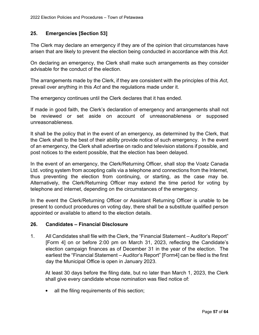# <span id="page-56-0"></span>**25. Emergencies [Section 53]**

The Clerk may declare an emergency if they are of the opinion that circumstances have arisen that are likely to prevent the election being conducted in accordance with this *Act*.

On declaring an emergency, the Clerk shall make such arrangements as they consider advisable for the conduct of the election.

The arrangements made by the Clerk, if they are consistent with the principles of this *Act*, prevail over anything in this *Act* and the regulations made under it.

The emergency continues until the Clerk declares that it has ended.

If made in good faith, the Clerk's declaration of emergency and arrangements shall not be reviewed or set aside on account of unreasonableness or supposed unreasonableness.

It shall be the policy that in the event of an emergency, as determined by the Clerk, that the Clerk shall to the best of their ability provide notice of such emergency. In the event of an emergency, the Clerk shall advertise on radio and television stations if possible, and post notices to the extent possible, that the election has been delayed.

In the event of an emergency, the Clerk/Returning Officer, shall stop the Voatz Canada Ltd. voting system from accepting calls via a telephone and connections from the Internet, thus preventing the election from continuing, or starting, as the case may be. Alternatively, the Clerk/Returning Officer may extend the time period for voting by telephone and internet, depending on the circumstances of the emergency.

In the event the Clerk/Returning Officer or Assistant Returning Officer is unable to be present to conduct procedures on voting day, there shall be a substitute qualified person appointed or available to attend to the election details.

#### <span id="page-56-1"></span>**26. Candidates – Financial Disclosure**

1. All Candidates shall file with the Clerk, the "Financial Statement – Auditor's Report" [Form 4] on or before 2:00 pm on March 31, 2023, reflecting the Candidate's election campaign finances as of December 31 in the year of the election. The earliest the "Financial Statement – Auditor's Report" [Form4] can be filed is the first day the Municipal Office is open in January 2023.

At least 30 days before the filing date, but no later than March 1, 2023, the Clerk shall give every candidate whose nomination was filed notice of:

• all the filing requirements of this section;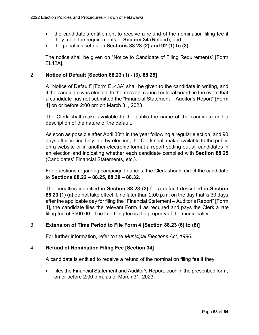- the candidate's entitlement to receive a refund of the nomination filing fee if they meet the requirements of **Section 34** (Refund); and
- the penalties set out in **Sections 88.23 (2) and 92 (1) to (3)**.

The notice shall be given on "Notice to Candidate of Filing Requirements" [Form EL42A].

# 2. **Notice of Default [Section 88.23 (1) - (3), 88.25]**

A "Notice of Default" [Form EL43A] shall be given to the candidate in writing, and if the candidate was elected, to the relevant council or local board, in the event that a candidate has not submitted the "Financial Statement – Auditor's Report" [Form 4] on or before 2:00 pm on March 31, 2023.

The Clerk shall make available to the public the name of the candidate and a description of the nature of the default.

As soon as possible after April 30th in the year following a regular election, and 90 days after Voting Day in a by-election, the Clerk shall make available to the public on a website or in another electronic format a report setting out all candidates in an election and indicating whether each candidate complied with **Section 88.25** (Candidates' Financial Statements, etc.).

For questions regarding campaign finances, the Clerk should direct the candidate to **Sections 88.22 – 88.25, 88.30 – 88.32**.

The penalties identified in **Section 88.23 (2)** for a default described in **Section 88.23 (1) (a)** do not take effect if, no later than 2:00 p.m. on the day that is 30 days after the applicable day for filing the "Financial Statement – Auditor's Report" [Form 4], the candidate files the relevant Form 4 as required and pays the Clerk a late filing fee of \$500.00. The late filing fee is the property of the municipality.

# 3. **Extension of Time Period to File Form 4 [Section 88.23 (6) to (8)]**

For further information, refer to the *Municipal Elections Act, 1996*.

# 4. **Refund of Nomination Filing Fee [Section 34]**

A candidate is entitled to receive a refund of the nomination filing fee if they,

· files the Financial Statement and Auditor's Report, each in the prescribed form, on or before 2:00 p.m. as of March 31, 2023.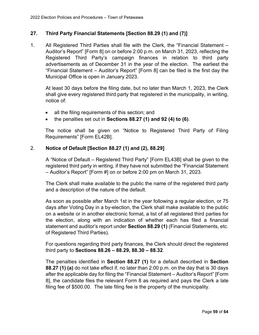# <span id="page-58-0"></span>**27. Third Party Financial Statements [Section 88.29 (1) and (7)]**

1. All Registered Third Parties shall file with the Clerk, the "Financial Statement – Auditor's Report" [Form 8] on or before 2:00 p.m. on March 31, 2023, reflecting the Registered Third Party's campaign finances in relation to third party advertisements as of December 31 in the year of the election. The earliest the "Financial Statement – Auditor's Report" [Form 8] can be filed is the first day the Municipal Office is open in January 2023.

At least 30 days before the filing date, but no later than March 1, 2023, the Clerk shall give every registered third party that registered in the municipality, in writing, notice of:

- all the filing requirements of this section; and
- · the penalties set out in **Sections 88.27 (1) and 92 (4) to (6)**.

The notice shall be given on "Notice to Registered Third Party of Filing Requirements" [Form EL42B].

# 2. **Notice of Default [Section 88.27 (1) and (2), 88.29]**

A "Notice of Default – Registered Third Party" [Form EL43B] shall be given to the registered third party in writing, if they have not submitted the "Financial Statement – Auditor's Report" [Form #] on or before 2:00 pm on March 31, 2023.

The Clerk shall make available to the public the name of the registered third party and a description of the nature of the default.

As soon as possible after March 1st in the year following a regular election, or 75 days after Voting Day in a by-election, the Clerk shall make available to the public on a website or in another electronic format, a list of all registered third parties for the election, along with an indication of whether each has filed a financial statement and auditor's report under **Section 88.29 (1)** (Financial Statements, etc. of Registered Third Parties).

For questions regarding third party finances, the Clerk should direct the registered third party to **Sections 88.26 – 88.29, 88.30 – 88.32**.

The penalties identified in **Section 88.27 (1)** for a default described in **Section 88.27 (1) (a)** do not take effect if, no later than 2:00 p.m. on the day that is 30 days after the applicable day for filing the "Financial Statement – Auditor's Report" [Form 8], the candidate files the relevant Form 8 as required and pays the Clerk a late filing fee of \$500.00. The late filing fee is the property of the municipality.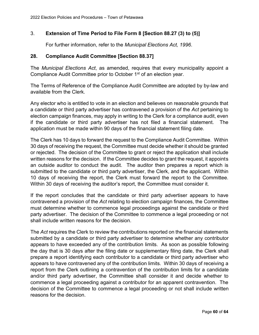# 3. **Extension of Time Period to File Form 8 [Section 88.27 (3) to (5)]**

<span id="page-59-0"></span>For further information, refer to the *Municipal Elections Act, 1996*.

### **28. Compliance Audit Committee [Section 88.37]**

The *Municipal Elections Act*, as amended, requires that every municipality appoint a Compliance Audit Committee prior to October 1<sup>st</sup> of an election year.

The Terms of Reference of the Compliance Audit Committee are adopted by by-law and available from the Clerk.

Any elector who is entitled to vote in an election and believes on reasonable grounds that a candidate or third party advertiser has contravened a provision of the *Act* pertaining to election campaign finances, may apply in writing to the Clerk for a compliance audit, even if the candidate or third party advertiser has not filed a financial statement. The application must be made within 90 days of the financial statement filing date.

The Clerk has 10 days to forward the request to the Compliance Audit Committee. Within 30 days of receiving the request, the Committee must decide whether it should be granted or rejected. The decision of the Committee to grant or reject the application shall include written reasons for the decision. If the Committee decides to grant the request, it appoints an outside auditor to conduct the audit. The auditor then prepares a report which is submitted to the candidate or third party advertiser, the Clerk, and the applicant. Within 10 days of receiving the report, the Clerk must forward the report to the Committee. Within 30 days of receiving the auditor's report, the Committee must consider it.

If the report concludes that the candidate or third party advertiser appears to have contravened a provision of the *Act* relating to election campaign finances, the Committee must determine whether to commence legal proceedings against the candidate or third party advertiser. The decision of the Committee to commence a legal proceeding or not shall include written reasons for the decision.

The *Act* requires the Clerk to review the contributions reported on the financial statements submitted by a candidate or third party advertiser to determine whether any contributor appears to have exceeded any of the contribution limits. As soon as possible following the day that is 30 days after the filing date or supplementary filing date, the Clerk shall prepare a report identifying each contributor to a candidate or third party advertiser who appears to have contravened any of the contribution limits. Within 30 days of receiving a report from the Clerk outlining a contravention of the contribution limits for a candidate and/or third party advertiser, the Committee shall consider it and decide whether to commence a legal proceeding against a contributor for an apparent contravention. The decision of the Committee to commence a legal proceeding or not shall include written reasons for the decision.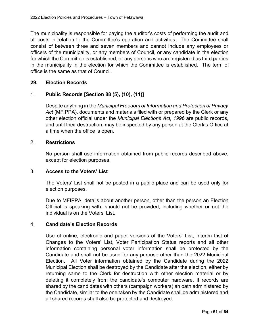The municipality is responsible for paying the auditor's costs of performing the audit and all costs in relation to the Committee's operation and activities. The Committee shall consist of between three and seven members and cannot include any employees or officers of the municipality, or any members of Council, or any candidate in the election for which the Committee is established, or any persons who are registered as third parties in the municipality in the election for which the Committee is established. The term of office is the same as that of Council.

# <span id="page-60-0"></span>**29. Election Records**

# 1. **Public Records [Section 88 (5), (10), (11)]**

Despite anything in the *Municipal Freedom of Information and Protection of Privacy Act* (MFIPPA), documents and materials filed with or prepared by the Clerk or any other election official under the *Municipal Elections Act, 1996* are public records, and until their destruction, may be inspected by any person at the Clerk's Office at a time when the office is open.

#### 2. **Restrictions**

No person shall use information obtained from public records described above, except for election purposes.

#### 3. **Access to the Voters' List**

The Voters' List shall not be posted in a public place and can be used only for election purposes.

Due to MFIPPA, details about another person, other than the person an Election Official is speaking with, should not be provided, including whether or not the individual is on the Voters' List.

#### 4. **Candidate's Election Records**

Use of online, electronic and paper versions of the Voters' List, Interim List of Changes to the Voters' List, Voter Participation Status reports and all other information containing personal voter information shall be protected by the Candidate and shall not be used for any purpose other than the 2022 Municipal Election. All Voter information obtained by the Candidate during the 2022 Municipal Election shall be destroyed by the Candidate after the election, either by returning same to the Clerk for destruction with other election material or by deleting it completely from the candidate's computer hardware. If records are shared by the candidates with others (campaign workers) an oath administered by the Candidate, similar to the one taken by the Candidate shall be administered and all shared records shall also be protected and destroyed.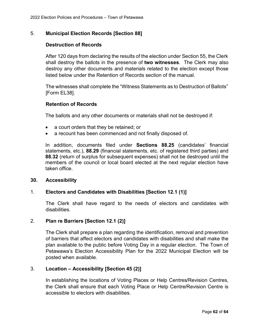# 5. **Municipal Election Records [Section 88]**

#### **Destruction of Records**

After 120 days from declaring the results of the election under Section 55, the Clerk shall destroy the ballots in the presence of **two witnesses**. The Clerk may also destroy any other documents and materials related to the election except those listed below under the Retention of Records section of the manual.

The witnesses shall complete the "Witness Statements as to Destruction of Ballots" [Form EL38].

#### **Retention of Records**

The ballots and any other documents or materials shall not be destroyed if:

- · a court orders that they be retained; or
- · a recount has been commenced and not finally disposed of.

In addition, documents filed under **Sections 88.25** (candidates' financial statements, etc.), **88.29** (financial statements, etc. of registered third parties) and **88.32** (return of surplus for subsequent expenses) shall not be destroyed until the members of the council or local board elected at the next regular election have taken office.

#### <span id="page-61-0"></span>**30. Accessibility**

#### 1. **Electors and Candidates with Disabilities [Section 12.1 (1)]**

The Clerk shall have regard to the needs of electors and candidates with disabilities.

#### 2. **Plan re Barriers [Section 12.1 (2)]**

The Clerk shall prepare a plan regarding the identification, removal and prevention of barriers that affect electors and candidates with disabilities and shall make the plan available to the public before Voting Day in a regular election. The Town of Petawawa's Election Accessibility Plan for the 2022 Municipal Election will be posted when available.

#### 3. **Location – Accessibility [Section 45 (2)]**

In establishing the locations of Voting Places or Help Centres/Revision Centres, the Clerk shall ensure that each Voting Place or Help Centre/Revision Centre is accessible to electors with disabilities.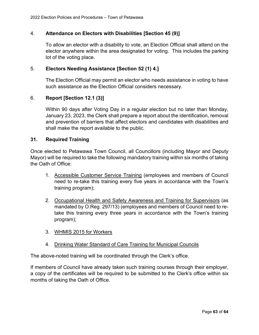# 4. **Attendance on Electors with Disabilities [Section 45 (9)]**

To allow an elector with a disability to vote, an Election Official shall attend on the elector anywhere within the area designated for voting. This includes the parking lot of the voting place.

### 5. **Electors Needing Assistance [Section 52 (1) 4.]**

The Election Official may permit an elector who needs assistance in voting to have such assistance as the Election Official considers necessary.

# 6. **Report [Section 12.1 (3)]**

Within 90 days after Voting Day in a regular election but no later than Monday, January 23, 2023, the Clerk shall prepare a report about the identification, removal and prevention of barriers that affect electors and candidates with disabilities and shall make the report available to the public.

#### <span id="page-62-0"></span>**31. Required Training**

Once elected to Petawawa Town Council, all Councillors (including Mayor and Deputy Mayor) will be required to take the following mandatory training within six months of taking the Oath of Office:

- 1. Accessible Customer Service Training (employees and members of Council need to re-take this training every five years in accordance with the Town's training program);
- 2. Occupational Health and Safety Awareness and Training for Supervisors (as mandated by O.Reg. 297/13) (employees and members of Council need to retake this training every three years in accordance with the Town's training program);
- 3. WHMIS 2015 for Workers
- 4. Drinking Water Standard of Care Training for Municipal Councils

The above-noted training will be coordinated through the Clerk's office.

If members of Council have already taken such training courses through their employer, a copy of the certificates will be required to be submitted to the Clerk's office within six months of taking the Oath of Office.